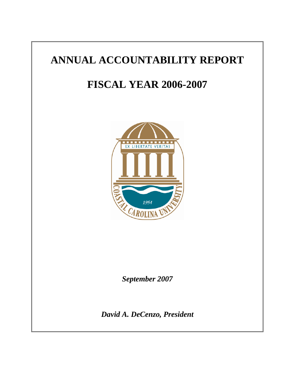# **ANNUAL ACCOUNTABILITY REPORT**

# **FISCAL YEAR 2006-2007**



*September 2007* 

*David A. DeCenzo, President*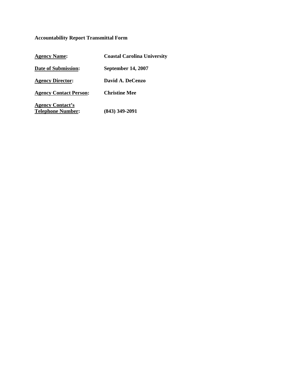# **Accountability Report Transmittal Form**

| <b>Agency Name:</b>                                 | <b>Coastal Carolina University</b> |
|-----------------------------------------------------|------------------------------------|
| Date of Submission:                                 | <b>September 14, 2007</b>          |
| <b>Agency Director:</b>                             | David A. DeCenzo                   |
| <b>Agency Contact Person:</b>                       | <b>Christine Mee</b>               |
| <b>Agency Contact's</b><br><b>Telephone Number:</b> | $(843)$ 349-2091                   |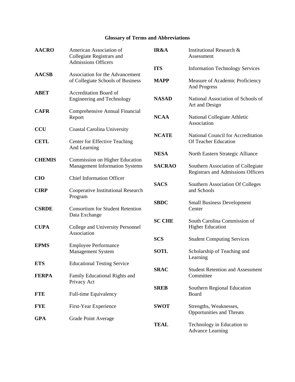# **Glossary of Terms and Abbreviations**

| <b>AACRO</b>  | American Association of<br>Collegiate Registrars and<br><b>Admissions Officers</b> | IR&A          | Institutional Research &<br>Assessment                                   |
|---------------|------------------------------------------------------------------------------------|---------------|--------------------------------------------------------------------------|
|               |                                                                                    | <b>ITS</b>    | <b>Information Technology Services</b>                                   |
| <b>AACSB</b>  | Association for the Advancement<br>of Collegiate Schools of Business               | <b>MAPP</b>   | Measure of Academic Proficiency<br><b>And Progress</b>                   |
| <b>ABET</b>   | Accreditation Board of<br><b>Engineering and Technology</b>                        | <b>NASAD</b>  | National Association of Schools of<br>Art and Design                     |
| <b>CAFR</b>   | Comprehensive Annual Financial<br>Report                                           | <b>NCAA</b>   | National Collegiate Athletic<br>Association                              |
| <b>CCU</b>    | Coastal Carolina University                                                        |               |                                                                          |
| <b>CETL</b>   | Center for Effective Teaching<br>And Learning                                      | <b>NCATE</b>  | National Council for Accreditation<br>Of Teacher Education               |
|               |                                                                                    | <b>NESA</b>   |                                                                          |
| <b>CHEMIS</b> | Commission on Higher Education<br><b>Management Information Systems</b>            | <b>SACRAO</b> | Southern Association of Collegiate<br>Registrars and Admissions Officers |
| <b>CIO</b>    | <b>Chief Information Officer</b>                                                   |               |                                                                          |
| <b>CIRP</b>   | Cooperative Institutional Research<br>Program                                      | <b>SACS</b>   | Southern Association Of Colleges<br>and Schools                          |
| <b>CSRDE</b>  | <b>Consortium for Student Retention</b><br>Data Exchange                           | <b>SBDC</b>   | <b>Small Business Development</b><br>Center                              |
| <b>CUPA</b>   | College and University Personnel<br>Association                                    | <b>SC CHE</b> | South Carolina Commission of<br><b>Higher Education</b>                  |
|               |                                                                                    | <b>SCS</b>    | <b>Student Computing Services</b>                                        |
| <b>EPMS</b>   | <b>Employee Performance</b><br>Management System                                   | <b>SOTL</b>   | Scholarship of Teaching and<br>Learning                                  |
| <b>ETS</b>    | <b>Educational Testing Service</b>                                                 |               |                                                                          |
| <b>FERPA</b>  | Family Educational Rights and<br>Privacy Act                                       | <b>SRAC</b>   | <b>Student Retention and Assessment</b><br>Committee                     |
| <b>FTE</b>    | Full-time Equivalency                                                              | <b>SREB</b>   | Southern Regional Education<br>Board                                     |
| <b>FYE</b>    | First-Year Experience                                                              | <b>SWOT</b>   | Strengths, Weaknesses,<br><b>Opportunities and Threats</b>               |
| <b>GPA</b>    | <b>Grade Point Average</b>                                                         | <b>TEAL</b>   | Technology in Education to<br><b>Advance Learning</b>                    |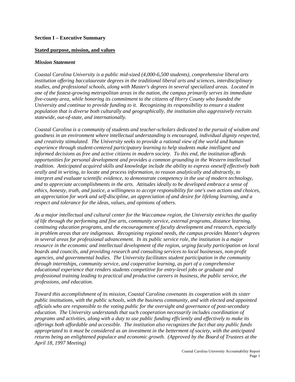#### **Stated purpose, mission, and values**

#### *Mission Statement*

*Coastal Carolina University is a public mid-sized (4,000-6,500 students), comprehensive liberal arts institution offering baccalaureate degrees in the traditional liberal arts and sciences, interdisciplinary studies, and professional schools, along with Master's degrees in several specialized areas. Located in one of the fastest-growing metropolitan areas in the nation, the campus primarily serves its immediate five-county area, while honoring its commitment to the citizens of Horry County who founded the University and continue to provide funding to it. Recognizing its responsibility to ensure a student population that is diverse both culturally and geographically, the institution also aggressively recruits statewide, out-of-state, and internationally.* 

*Coastal Carolina is a community of students and teacher-scholars dedicated to the pursuit of wisdom and goodness in an environment where intellectual understanding is encouraged, individual dignity respected, and creativity stimulated. The University seeks to provide a rational view of the world and human experience through student-centered participatory learning to help students make intelligent and informed decisions as free and active citizens in modern society. To this end, the institution affords opportunities for personal development and provides a common grounding in the Western intellectual tradition. Anticipated acquired skills and knowledge include the ability to express oneself effectively both orally and in writing, to locate and process information, to reason analytically and abstractly, to interpret and evaluate scientific evidence, to demonstrate competency in the use of modern technology, and to appreciate accomplishments in the arts. Attitudes ideally to be developed embrace a sense of ethics, honesty, truth, and justice, a willingness to accept responsibility for one's own actions and choices, an appreciation for work and self-discipline, an appreciation of and desire for lifelong learning, and a respect and tolerance for the ideas, values, and opinions of others.* 

*As a major intellectual and cultural center for the Waccamaw region, the University enriches the quality of life through the performing and fine arts, community service, external programs, distance learning, continuing education programs, and the encouragement of faculty development and research, especially in problem areas that are indigenous. Recognizing regional needs, the campus provides Master's degrees in several areas for professional advancement. In its public service role, the institution is a major resource in the economic and intellectual development of the region, urging faculty participation on local boards and councils, and providing research and consulting services to local businesses, non-profit agencies, and governmental bodies. The University facilitates student participation in the community through internships, community service, and cooperative learning, as part of a comprehensive educational experience that renders students competitive for entry-level jobs or graduate and professional training leading to practical and productive careers in business, the public service, the professions, and education.* 

*Toward this accomplishment of its mission, Coastal Carolina covenants its cooperation with its sister public institutions, with the public schools, with the business community, and with elected and appointed officials who are responsible to the voting public for the oversight and governance of post-secondary education. The University understands that such cooperation necessarily includes coordination of programs and activities, along with a duty to use public funding efficiently and effectively to make its offerings both affordable and accessible. The institution also recognizes the fact that any public funds appropriated to it must be considered as an investment in the betterment of society, with the anticipated returns being an enlightened populace and economic growth. (Approved by the Board of Trustees at the April 18, 1997 Meeting)*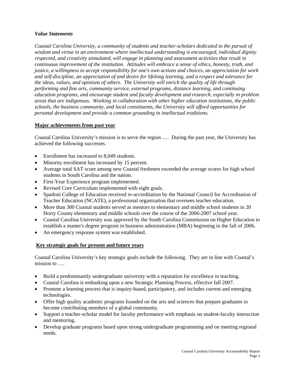#### *Value Statements*

*Coastal Carolina University, a community of students and teacher-scholars dedicated to the pursuit of wisdom and virtue in an environment where intellectual understanding is encouraged, individual dignity respected, and creativity stimulated, will engage in planning and assessment activities that result in continuous improvement of the institution. Attitudes will embrace a sense of ethics, honesty, truth, and justice, a willingness to accept responsibility for one's own actions and choices, an appreciation for work and self-discipline, an appreciation of and desire for lifelong learning, and a respect and tolerance for the ideas, values, and opinions of others. The University will enrich the quality of life through performing and fine arts, community service, external programs, distance learning, and continuing education programs, and encourage student and faculty development and research, especially in problem areas that are indigenous. Working in collaboration with other higher education institutions, the public schools, the business community, and local constituents, the University will afford opportunities for personal development and provide a common grounding in intellectual traditions.* 

## **Major achievements from past year**

Coastal Carolina University's mission is to serve the region …. During the past year, the University has achieved the following successes.

- Enrollment has increased to 8,049 students.
- Minority enrollment has increased by 15 percent.
- Average total SAT score among new Coastal freshmen exceeded the average scores for high school students in South Carolina and the nation.
- First-Year Experience program implemented.
- Revised Core Curriculum implemented with eight goals.
- Spadoni College of Education received re-accreditation by the National Council for Accreditation of Teacher Education (NCATE), a professional organization that oversees teacher education.
- More than 300 Coastal students served as mentors to elementary and middle school students in 20 Horry County elementary and middle schools over the course of the 2006-2007 school year.
- Coastal Carolina University was approved by the South Carolina Commission on Higher Education to establish a master's degree program in business administration (MBA) beginning in the fall of 2006.
- An emergency response system was established.

## **Key strategic goals for present and future years**

Coastal Carolina University's key strategic goals include the following. They are in line with Coastal's mission to ….

- Build a predominantly undergraduate university with a reputation for excellence in teaching.
- Coastal Carolina is embarking upon a new Strategic Planning Process, effective fall 2007.
- Promote a learning process that is inquiry-based, participatory, and includes current and emerging technologies.
- Offer high quality academic programs founded on the arts and sciences that prepare graduates to become contributing members of a global community.
- Support a teacher-scholar model for faculty performance with emphasis on student-faculty interaction and mentoring.
- Develop graduate programs based upon strong undergraduate programming and on meeting regional needs.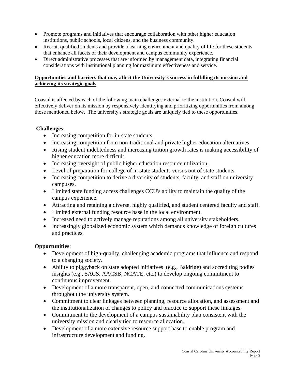- Promote programs and initiatives that encourage collaboration with other higher education institutions, public schools, local citizens, and the business community.
- Recruit qualified students and provide a learning environment and quality of life for these students that enhance all facets of their development and campus community experience.
- Direct administrative processes that are informed by management data, integrating financial considerations with institutional planning for maximum effectiveness and service.

# **Opportunities and barriers that may affect the University's success in fulfilling its mission and achieving its strategic goals**

Coastal is affected by each of the following main challenges external to the institution. Coastal will effectively deliver on its mission by responsively identifying and prioritizing opportunities from among those mentioned below. The university's strategic goals are uniquely tied to these opportunities.

# **Challenges:**

- Increasing competition for in-state students.
- Increasing competition from non-traditional and private higher education alternatives.
- Rising student indebtedness and increasing tuition growth rates is making accessibility of higher education more difficult.
- Increasing oversight of public higher education resource utilization.
- Level of preparation for college of in-state students versus out of state students.
- Increasing competition to derive a diversity of students, faculty, and staff on university campuses.
- Limited state funding access challenges CCU's ability to maintain the quality of the campus experience.
- Attracting and retaining a diverse, highly qualified, and student centered faculty and staff.
- Limited external funding resource base in the local environment.
- Increased need to actively manage reputations among all university stakeholders.
- Increasingly globalized economic system which demands knowledge of foreign cultures and practices.

# **Opportunities**:

- Development of high-quality, challenging academic programs that influence and respond to a changing society.
- Ability to piggyback on state adopted initiatives (e.g., Baldrige) and accrediting bodies' insights (e.g., SACS, AACSB, NCATE, etc.) to develop ongoing commitment to continuous improvement.
- Development of a more transparent, open, and connected communications systems throughout the university system.
- Commitment to clear linkages between planning, resource allocation, and assessment and the institutionalization of changes to policy and practice to support these linkages.
- Commitment to the development of a campus sustainability plan consistent with the university mission and clearly tied to resource allocation.
- Development of a more extensive resource support base to enable program and infrastructure development and funding.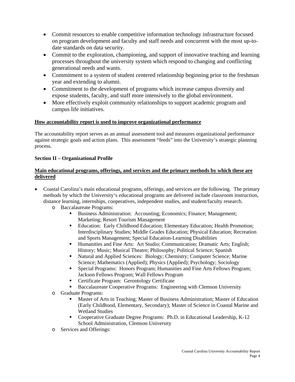- Commit resources to enable competitive information technology infrastructure focused on program development and faculty and staff needs and concurrent with the most up-todate standards on data security.
- Commit to the exploration, championing, and support of innovative teaching and learning processes throughout the university system which respond to changing and conflicting generational needs and wants.
- Commitment to a system of student centered relationship beginning prior to the freshman year and extending to alumni.
- Commitment to the development of programs which increase campus diversity and expose students, faculty, and staff more intensively to the global environment.
- More effectively exploit community relationships to support academic program and campus life initiatives.

# **How accountability report is used to improve organizational performance**

The accountability report serves as an annual assessment tool and measures organizational performance against strategic goals and action plans. This assessment "feeds" into the University's strategic planning process.

# **Section II – Organizational Profile**

## **Main educational programs, offerings, and services and the primary methods by which these are delivered**

- Coastal Carolina's main educational programs, offerings, and services are the following. The primary methods by which the University's educational programs are delivered include classroom instruction, distance learning, internships, cooperatives, independent studies, and student/faculty research.
	- o Baccalaureate Programs:
		- Business Administration: Accounting; Economics; Finance; Management; Marketing; Resort Tourism Management
		- Education: Early Childhood Education; Elementary Education; Health Promotion; Interdisciplinary Studies; Middle Grades Education; Physical Education; Recreation and Sports Management; Special Education-Learning Disabilities
		- Humanities and Fine Arts: Art Studio; Communication; Dramatic Arts; English; History; Music; Musical Theatre; Philosophy; Political Science; Spanish
		- Natural and Applied Sciences: Biology; Chemistry; Computer Science; Marine Science; Mathematics (Applied); Physics (Applied); Psychology; Sociology
		- Special Programs: Honors Program; Humanities and Fine Arts Fellows Program; Jackson Fellows Program; Wall Fellows Program
		- **EXECUTE:** Certificate Program: Gerontology Certificate
		- Baccalaureate Cooperative Programs: Engineering with Clemson University
	- o Graduate Programs:
		- Master of Arts in Teaching; Master of Business Administration; Master of Education (Early Childhood, Elementary, Secondary); Master of Science in Coastal Marine and Wetland Studies
		- Cooperative Graduate Degree Programs: Ph.D. in Educational Leadership, K-12 School Administration, Clemson University
	- o Services and Offerings: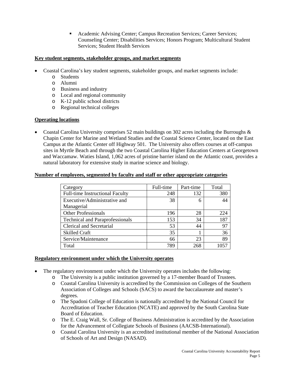Academic Advising Center; Campus Recreation Services; Career Services; Counseling Center; Disabilities Services; Honors Program; Multicultural Student Services; Student Health Services

## **Key student segments, stakeholder groups, and market segments**

- Coastal Carolina's key student segments, stakeholder groups, and market segments include:
	- o Students
	- o Alumni
	- o Business and industry
	- o Local and regional community
	- o K-12 public school districts
	- o Regional technical colleges

## **Operating locations**

• Coastal Carolina University comprises 52 main buildings on 302 acres including the Burroughs  $\&$ Chapin Center for Marine and Wetland Studies and the Coastal Science Center, located on the East Campus at the Atlantic Center off Highway 501. The University also offers courses at off-campus sites in Myrtle Beach and through the two Coastal Carolina Higher Education Centers at Georgetown and Waccamaw. Waties Island, 1,062 acres of pristine barrier island on the Atlantic coast, provides a natural laboratory for extensive study in marine science and biology.

#### **Number of employees, segmented by faculty and staff or other appropriate categories**

| Category                               | Full-time | Part-time | Total |
|----------------------------------------|-----------|-----------|-------|
| <b>Full-time Instructional Faculty</b> | 248       | 132       | 380   |
| Executive/Administrative and           | 38        | 6         | 44    |
| Managerial                             |           |           |       |
| <b>Other Professionals</b>             | 196       | 28        | 224   |
| <b>Technical and Paraprofessionals</b> | 153       | 34        | 187   |
| Clerical and Secretarial               | 53        | 44        | 97    |
| <b>Skilled Craft</b>                   | 35        |           | 36    |
| Service/Maintenance                    | 66        | 23        | 89    |
| Total                                  | 789       | 268       | 1057  |

#### **Regulatory environment under which the University operates**

- The regulatory environment under which the University operates includes the following:
	- o The University is a public institution governed by a 17-member Board of Trustees.
	- o Coastal Carolina University is accredited by the Commission on Colleges of the Southern Association of Colleges and Schools (SACS) to award the baccalaureate and master's degrees.
	- o The Spadoni College of Education is nationally accredited by the National Council for Accreditation of Teacher Education (NCATE) and approved by the South Carolina State Board of Education.
	- o The E. Craig Wall, Sr. College of Business Administration is accredited by the Association for the Advancement of Collegiate Schools of Business (AACSB-International).
	- o Coastal Carolina University is an accredited institutional member of the National Association of Schools of Art and Design (NASAD).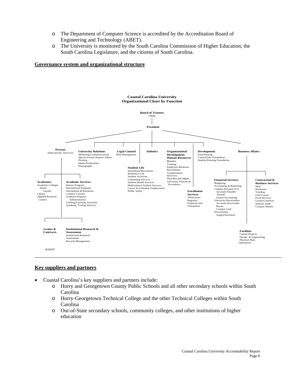- o The Department of Computer Science is accredited by the Accreditation Board of Engineering and Technology (ABET).
- o The University is monitored by the South Carolina Commission of Higher Education, the South Carolina Legislature, and the citizens of South Carolina.

#### **Governance system and organizational structure**



#### **Key suppliers and partners**

- Coastal Carolina's key suppliers and partners include:
	- o Horry and Georgetown County Public Schools and all other secondary schools within South Carolina
	- o Horry-Georgetown Technical College and the other Technical Colleges within South Carolina
	- o Out-of-State secondary schools, community colleges, and other institutions of higher education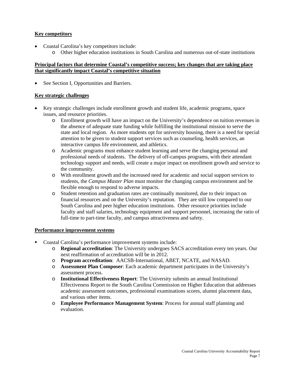## **Key competitors**

- Coastal Carolina's key competitors include:
	- o Other higher education institutions in South Carolina and numerous out-of-state institutions

## **Principal factors that determine Coastal's competitive success; key changes that are taking place that significantly impact Coastal's competitive situation**

• See Section I, Opportunities and Barriers.

## **Key strategic challenges**

- Key strategic challenges include enrollment growth and student life, academic programs, space issues, and resource priorities.
	- o Enrollment growth will have an impact on the University's dependence on tuition revenues in the absence of adequate state funding while fulfilling the institutional mission to serve the state and local region. As more students opt for university housing, there is a need for special attention to be given to student support services such as counseling, health services, an interactive campus life environment, and athletics.
	- o Academic programs must enhance student learning and serve the changing personal and professional needs of students. The delivery of off-campus programs, with their attendant technology support and needs, will create a major impact on enrollment growth and service to the community.
	- o With enrollment growth and the increased need for academic and social support services to students, the *Campus Master Plan* must monitor the changing campus environment and be flexible enough to respond to adverse impacts.
	- o Student retention and graduation rates are continually monitored, due to their impact on financial resources and on the University's reputation. They are still low compared to our South Carolina and peer higher education institutions. Other resource priorities include faculty and staff salaries, technology equipment and support personnel, increasing the ratio of full-time to part-time faculty, and campus attractiveness and safety.

#### **Performance improvement systems**

- Coastal Carolina's performance improvement systems include:
	- o **Regional accreditation**: The University undergoes SACS accreditation every ten years. Our next reaffirmation of accreditation will be in 2012.
	- o **Program accreditation**: AACSB-International, ABET, NCATE, and NASAD.
	- o **Assessment Plan Composer**: Each academic department participates in the University's assessment process.
	- o **Institutional Effectiveness Report**: The University submits an annual Institutional Effectiveness Report to the South Carolina Commission on Higher Education that addresses academic assessment outcomes, professional examinations scores, alumni placement data, and various other items.
	- o **Employee Performance Management System**: Process for annual staff planning and evaluation.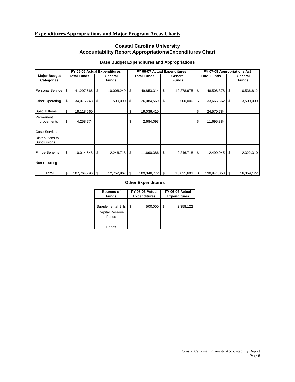# **Expenditures/Appropriations and Major Program Areas Charts**

# **Coastal Carolina University Accountability Report Appropriations/Expenditures Chart**

|                                          | FY 05-06 Actual Expenditures |                         | FY 06-07 Actual Expenditures |                         | FY 07-08 Appropriations Act |      |                         |
|------------------------------------------|------------------------------|-------------------------|------------------------------|-------------------------|-----------------------------|------|-------------------------|
| <b>Major Budget</b><br><b>Categories</b> | <b>Total Funds</b>           | General<br><b>Funds</b> | <b>Total Funds</b>           | General<br><b>Funds</b> | <b>Total Funds</b>          |      | General<br><b>Funds</b> |
| <b>Personal Service</b>                  | \$<br>41,297,666             | \$<br>10,006,249        | \$<br>49,853,314             | \$<br>12,278,975        | \$<br>48,508,378            | \$   | 10,536,812              |
| <b>Other Operating</b>                   | \$<br>34,075,248             | \$<br>500,000           | \$<br>26,084,569             | \$<br>500,000           | \$<br>33,666,562            | \$   | 3,500,000               |
| Special Items                            | \$<br>18,118,560             |                         | \$<br>19,036,410             |                         | \$<br>24,570,784            |      |                         |
| Permanent<br>Improvements                | \$<br>4,258,774              |                         | \$<br>2,684,093              |                         | \$<br>11,695,384            |      |                         |
| <b>Case Services</b>                     |                              |                         |                              |                         |                             |      |                         |
| Distributions to<br>Subdivisions         |                              |                         |                              |                         |                             |      |                         |
| <b>Fringe Benefits</b>                   | \$<br>10,014,548             | \$<br>2,246,718         | \$<br>11,690,386             | \$<br>2,246,718         | \$<br>12,499,945            | \$   | 2,322,310               |
| Non-recurring                            |                              |                         |                              |                         |                             |      |                         |
| Total                                    | \$<br>107,764,796            | \$<br>12,752,967        | \$<br>109,348,772            | \$<br>15,025,693        | \$<br>130,941,053           | - \$ | 16,359,122              |

#### **Base Budget Expenditures and Appropriations**

#### **Other Expenditures**

| Sources of<br><b>Funds</b>      | FY 05-06 Actual<br><b>Expenditures</b> | FY 06-07 Actual<br><b>Expenditures</b> |  |
|---------------------------------|----------------------------------------|----------------------------------------|--|
| Supplemental Bills              | \$<br>500,000                          | \$<br>2,358,122                        |  |
| <b>Capital Reserve</b><br>Funds |                                        |                                        |  |
| <b>Bonds</b>                    |                                        |                                        |  |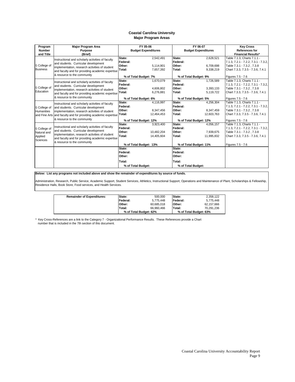#### **Major Program Areas Coastal Carolina University**

| <b>Major Program Area</b><br>Program |                                                                                           |                        | FY 05-06                   |                       | FY 06-07                   | <b>Key Cross</b>                     |
|--------------------------------------|-------------------------------------------------------------------------------------------|------------------------|----------------------------|-----------------------|----------------------------|--------------------------------------|
| <b>Number</b>                        | <b>Purpose</b>                                                                            |                        | <b>Budget Expenditures</b> |                       | <b>Budget Expenditures</b> | <b>References for</b>                |
| and Title                            | (Brief)                                                                                   |                        |                            |                       |                            | <b>Financial Results*</b>            |
|                                      | Instructional and scholarly activities of faculty                                         | State:                 | 2,542,491                  | State:                | 2,628,521                  | Table 7.1.3, Charts 7.1.1 -          |
|                                      | and students. Curricular development                                                      | Federal:               |                            | Federal:              |                            | 7.1.3, 7.2.1 - 7.2.2, 7.3.1 - 7.3.2, |
| I) College of                        | implementation, research activities of student                                            | Other:                 | 5.114.901                  | Other:                | 6.709.698                  | Table 7.3.1 - 7.3.2, 7.3.8           |
| <b>Business</b>                      | and faculty and for providing academic expertise                                          | Total:                 | 7,657,392                  | Total:                | 9,338,219                  | Chart 7.3.3, 7.3.5 - 7.3.6, 7.4.1    |
|                                      | & resource to the community                                                               |                        | % of Total Budget: 7%      | % of Total Budget: 9% |                            | Figures 7.5 - 7.6                    |
|                                      | Instructional and scholarly activities of faculty                                         | State:                 | 1,670,079                  | State:                | 1,726,589                  | Table 7.1.3, Charts 7.1.1 -          |
|                                      | and students. Curricular development                                                      | Federal:               |                            | Federal:              |                            | 7.1.3, 7.2.1 - 7.2.2, 7.3.1 - 7.3.2, |
| College of                           | implementation, research activities of student                                            | Other:                 | 4,606,802                  | Other:                | 3,393,133                  | Table 7.3.1 - 7.3.2, 7.3.8           |
| Education                            | and faculty and for providing academic expertise                                          | Total:                 | 6.276.881                  | Total:                | 5,119,722                  | Chart 7.3.3, 7.3.5 - 7.3.6, 7.4.1    |
|                                      | & resource to the community                                                               |                        | % of Total Budget: 6%      | % of Total Budget: 5% |                            | Figures 7.5 - 7.6                    |
|                                      | Instructional and scholarly activities of faculty<br>and students. Curricular development | State:                 | 4,116,997                  | State:                | 4,256,304                  | Table 7.1.3, Charts 7.1.1 -          |
| I) College of                        |                                                                                           | Federal:               |                            | Federal:              |                            | 7.1.3, 7.2.1 - 7.2.2, 7.3.1 - 7.3.2, |
| Humanities                           | implementation, research activities of student                                            | Other:                 | 8,347,456                  | Other:                | 8,347,459                  | Table 7.3.1 - 7.3.2, 7.3.8           |
| and Fine Arts                        | and faculty and for providing academic expertise Total:                                   |                        | 12,464,453                 | Total:                | 12,603,763                 | Chart 7.3.3, 7.3.5 - 7.3.6, 7.4.1    |
|                                      | & resource to the community                                                               | % of Total Budget: 12% |                            |                       | % of Total Budget: 12%     | Figures 7.5 - 7.6                    |
|                                      |                                                                                           | State:                 | 3,923,400                  | State:                | 4,056,157                  | Table 7.1.3, Charts 7.1.1 -          |
| I) College of                        | Instructional and scholarly activities of faculty                                         | Federal:               |                            | Federal:              |                            | 7.1.3, 7.2.1 - 7.2.2, 7.3.1 - 7.3.2, |
| Natural and                          | and students. Curricular development                                                      | Other:                 | 10,482,204                 | Other:                | 7.939.675                  | Table 7.3.1 - 7.3.2, 7.3.8           |
| Applied                              | implementation, research activities of student                                            | Total:                 | 14,405,604                 | Total:                | 11,995,832                 | Chart 7.3.3, 7.3.5 - 7.3.6, 7.4.1    |
| <b>Sciences</b>                      | and faculty and for providing academic expertise                                          |                        |                            |                       |                            |                                      |
|                                      | & resource to the community                                                               | % of Total Budget: 13% |                            |                       | % of Total Budget: 11%     | Figures 7.5 - 7.6                    |
|                                      |                                                                                           | State:                 |                            | State:                |                            |                                      |
|                                      |                                                                                           | Federal:               |                            | Federal:              |                            |                                      |
|                                      |                                                                                           | Other:                 |                            | Other:                |                            |                                      |
|                                      |                                                                                           | Total:                 |                            | Total:                |                            |                                      |
|                                      |                                                                                           | % of Total Budget:     |                            | % of Total Budget:    |                            |                                      |

**Below: List any programs not included above and show the remainder of expenditures by source of funds.**

Administration, Research, Public Service, Academic Support, Student Services, Athletics, Instructional Support, Operations and Maintenance of Plant, Scholarships & Fellowship,<br>Residence Halls, Book Store, Food services, an

| <b>Remainder of Expenditures:</b> | State:   | 500.000                | <b>State:</b>    | 2,358,122              |
|-----------------------------------|----------|------------------------|------------------|------------------------|
|                                   | Federal: | 5.775.448              | <b>IFederal:</b> | 5.775.448              |
|                                   | Other:   | 60,685,018             | <b>IOther:</b>   | 62.157.666             |
|                                   | Total:   | 66.960.466             | Total:           | 70.291.236             |
|                                   |          | % of Total Budget: 62% |                  | % of Total Budget: 63% |

\* Key Cross-References are a link to the Category 7 - Organizational Performance Results. These References provide a Chart number that is included in the 7th section of this document.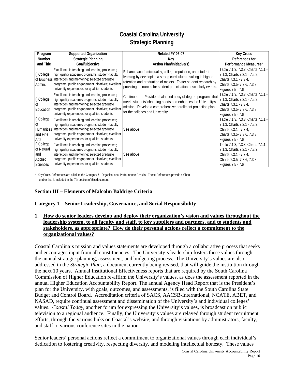# **Coastal Carolina University Strategic Planning**

| Program                                                 | <b>Supported Organization</b>                                                                                                                                                                                                                                        | Related FY 06-07                                                                                                                                                                                                                                                    | <b>Key Cross</b>                                                                                                                                      |
|---------------------------------------------------------|----------------------------------------------------------------------------------------------------------------------------------------------------------------------------------------------------------------------------------------------------------------------|---------------------------------------------------------------------------------------------------------------------------------------------------------------------------------------------------------------------------------------------------------------------|-------------------------------------------------------------------------------------------------------------------------------------------------------|
| <b>Number</b>                                           | <b>Strategic Planning</b>                                                                                                                                                                                                                                            | Key                                                                                                                                                                                                                                                                 | References for                                                                                                                                        |
| and Title                                               | Goal/Objective                                                                                                                                                                                                                                                       | <b>Action Plan/Initiative(s)</b>                                                                                                                                                                                                                                    | Performance Measures*                                                                                                                                 |
| I) College<br>Admin.                                    | Excellence in teaching and learning processes;<br>high quality academic programs; student-faculty<br>of Business interaction and mentoring; selected graduate<br>programs; public engagement initiatives; excellent<br>university experiences for qualified students | Enhance academic quality, college reputation, and student<br>learning by developing a strong curriculum resulting in higher<br>retention and graduation of majors. Foster student research by<br>providing resources for student participation at scholarly events. | Table 7.1.3, 7.3.3, Charts 7.1.1 -<br>7.1.3, Charts 7.2.1 - 7.2.2,<br>Charts 7.3.1 - 7.3.4,<br>Charts 7.3.5- 7.3.6, 7.3.8<br><b>Figures 7.5 - 7.6</b> |
| I) College<br>Education                                 | Excellence in teaching and learning processes;<br>high quality academic programs; student-faculty<br>interaction and mentoring; selected graduate<br>programs; public engagement initiatives; excellent<br>university experiences for qualified students             | Continued  Provide a balanced array of degree programs that<br>meets students' changing needs and enhances the University's<br>mission. Develop a comprehensive enrollment projection plan<br>for the colleges and University.                                      | Table 7.1.3, 7.3.3, Charts 7.1.1 -<br>7.1.3, Charts 7.2.1 - 7.2.2,<br>Charts 7.3.1 - 7.3.4,<br>Charts 7.3.5- 7.3.6, 7.3.8<br>Figures 7.5 - 7.6        |
| College<br>and Fine<br>Arts                             | Excellence in teaching and learning processes;<br>high quality academic programs; student-faculty<br>Humanities linteraction and mentoring; selected graduate<br>programs; public engagement initiatives; excellent<br>university experiences for qualified students | See above                                                                                                                                                                                                                                                           | Table 7.1.3, 7.3.3, Charts 7.1.1 -<br>7.1.3, Charts 7.2.1 - 7.2.2,<br>Charts 7.3.1 - 7.3.4,<br>Charts 7.3.5- 7.3.6, 7.3.8<br>Figures 7.5 - 7.6        |
| I) College<br>of Natural<br>land<br>Applied<br>Sciences | Excellence in teaching and learning processes;<br>high quality academic programs; student-faculty<br>interaction and mentoring; selected graduate<br>programs; public engagement initiatives; excellent<br>university experiences for qualified students             | See above                                                                                                                                                                                                                                                           | Table 7.1.3, 7.3.3, Charts 7.1.1 -<br>7.1.3, Charts 7.2.1 - 7.2.2,<br>Charts 7.3.1 - 7.3.4,<br>Charts 7.3.5- 7.3.6, 7.3.8<br>Figures 7.5 - 7.6        |

\* Key Cross-References are a link to the Category 7 - Organizational Performance Results. These References provide a Chart number that is included in the 7th section of this document.

## **Section III – Elements of Malcolm Baldrige Criteria**

#### **Category 1 – Senior Leadership, Governance, and Social Responsibility**

#### **1. How do senior leaders develop and deploy their organization's vision and values throughout the leadership system, to all faculty and staff, to key suppliers and partners, and to students and stakeholders, as appropriate? How do their personal actions reflect a commitment to the organizational values?**

Coastal Carolina's mission and values statements are developed through a collaborative process that seeks and encourages input from all constituencies. The University's leadership fosters these values through the annual strategic planning, assessment, and budgeting process. The University's values are also addressed in the *Strategic Plan,* a document currently being revised, that will guide the institution through the next 10 years. Annual Institutional Effectiveness reports that are required by the South Carolina Commission of Higher Education re-affirm the University's values, as does the assessment reported in the annual Higher Education Accountability Report. The annual Agency Head Report that is the President's plan for the University, with goals, outcomes, and assessments, is filed with the South Carolina State Budget and Control Board. Accreditation criteria of SACS, AACSB-International, NCATE, ABET, and NASAD, require continual assessment and dissemination of the University's and individual colleges' values. *Coastal Today*, another forum for expressing the University's values, is broadcast on public television to a regional audience. Finally, the University's values are relayed through student recruitment efforts, through the various links on Coastal's website, and through visitations by administrators, faculty, and staff to various conference sites in the nation.

Senior leaders' personal actions reflect a commitment to organizational values through each individual's dedication to fostering creativity, respecting diversity, and modeling intellectual honesty. These values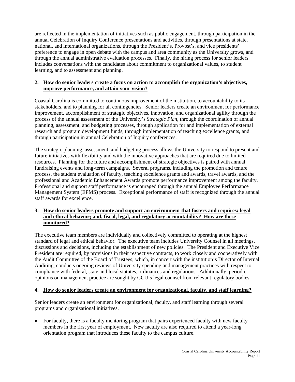are reflected in the implementation of initiatives such as public engagement, through participation in the annual Celebration of Inquiry Conference presentations and activities, through presentations at state, national, and international organizations, through the President's, Provost's, and vice presidents' preference to engage in open debate with the campus and area community as the University grows, and through the annual administrative evaluation processes. Finally, the hiring process for senior leaders includes conversations with the candidates about commitment to organizational values, to student learning, and to assessment and planning.

#### **2. How do senior leaders create a focus on action to accomplish the organization's objectives, improve performance, and attain your vision?**

Coastal Carolina is committed to continuous improvement of the institution, to accountability to its stakeholders, and to planning for all contingencies. Senior leaders create an environment for performance improvement, accomplishment of strategic objectives, innovation, and organizational agility through the process of the annual assessment of the University's *Strategic Plan*, through the coordination of annual planning, assessment, and budgeting processes, through application for and implementation of external research and program development funds, through implementation of teaching excellence grants, and through participation in annual Celebration of Inquiry conferences.

The strategic planning, assessment, and budgeting process allows the University to respond to present and future initiatives with flexibility and with the innovative approaches that are required due to limited resources. Planning for the future and accomplishment of strategic objectives is paired with annual fundraising events and long-term campaigns. Several programs, including the promotion and tenure process, the student evaluation of faculty, teaching excellence grants and awards, travel awards, and the professional and Academic Enhancement Awards promote performance improvement among the faculty. Professional and support staff performance is encouraged through the annual Employee Performance Management System (EPMS) process. Exceptional performance of staff is recognized through the annual staff awards for excellence.

## **3. How do senior leaders promote and support an environment that fosters and requires: legal and ethical behavior; and, fiscal, legal, and regulatory accountability? How are these monitored?**

The executive team members are individually and collectively committed to operating at the highest standard of legal and ethical behavior. The executive team includes University Counsel in all meetings, discussions and decisions, including the establishment of new policies. The President and Executive Vice President are required, by provisions in their respective contracts, to work closely and cooperatively with the Audit Committee of the Board of Trustees; which, in concert with the institution's Director of Internal Auditing, conducts ongoing reviews of University spending and management practices with respect to compliance with federal, state and local statutes, ordinances and regulations. Additionally, periodic opinions on management practice are sought by CCU's legal counsel from relevant regulatory bodies.

#### **4. How do senior leaders create an environment for organizational, faculty, and staff learning?**

Senior leaders create an environment for organizational, faculty, and staff learning through several programs and organizational initiatives.

• For faculty, there is a faculty mentoring program that pairs experienced faculty with new faculty members in the first year of employment. New faculty are also required to attend a year-long orientation program that introduces these faculty to the campus culture.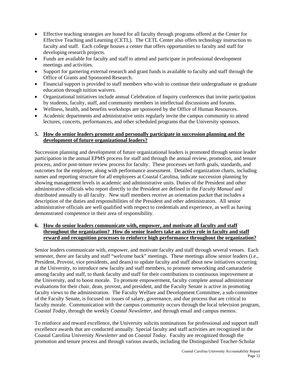- Effective teaching strategies are honed for all faculty through programs offered at the Center for Effective Teaching and Learning (CETL). The CETL Center also offers technology instruction to faculty and staff. Each college houses a center that offers opportunities to faculty and staff for developing research projects.
- Funds are available for faculty and staff to attend and participate in professional development meetings and activities.
- Support for garnering external research and grant funds is available to faculty and staff through the Office of Grants and Sponsored Research.
- Financial support is provided to staff members who wish to continue their undergraduate or graduate education through tuition waivers.
- Organizational initiatives include annual Celebration of Inquiry conferences that invite participation by students, faculty, staff, and community members in intellectual discussions and forums.
- Wellness, health, and benefits workshops are sponsored by the Office of Human Resources.
- Academic departments and administrative units regularly invite the campus community to attend lectures, concerts, performances, and other scheduled programs that the University sponsors.

## **5. How do senior leaders promote and personally participate in succession planning and the development of future organizational leaders?**

Succession planning and development of future organizational leaders is promoted through senior leader participation in the annual EPMS process for staff and through the annual review, promotion, and tenure process, and/or post-tenure review process for faculty. These processes set forth goals, standards, and outcomes for the employee, along with performance assessment. Detailed organization charts, including names and reporting structure for all employees at Coastal Carolina, indicate succession planning by showing management levels in academic and administrative units. Duties of the President and other administrative officials who report directly to the President are defined in the *Faculty Manual* and distributed annually to all faculty. New staff members receive an orientation packet that includes a description of the duties and responsibilities of the President and other administrators. All senior administrative officials are well qualified with respect to credentials and experience, as well as having demonstrated competence in their area of responsibility.

## **6. How do senior leaders communicate with, empower, and motivate all faculty and staff throughout the organization? How do senior leaders take an active role in faculty and staff reward and recognition processes to reinforce high performance throughout the organization?**

Senior leaders communicate with, empower, and motivate faculty and staff through several venues. Each semester, there are faculty and staff "welcome back" meetings. These meetings allow senior leaders (i.e., President, Provost, vice presidents, and deans) to update faculty and staff about new initiatives occurring at the University, to introduce new faculty and staff members, to promote networking and camaraderie among faculty and staff, to thank faculty and staff for their contributions to continuous improvement at the University, and to boost morale. To promote empowerment, faculty complete annual administrator evaluations for their chair, dean, provost, and president, and the Faculty Senate is active in promoting faculty views to the administration. The Faculty Welfare and Development Committee, a sub-committee of the Faculty Senate, is focused on issues of salary, governance, and due process that are critical to faculty morale. Communication with the campus community occurs through the local television program, *Coastal Today*, through the weekly *Coastal Newsletter*, and through email and campus memos.

To reinforce and reward excellence, the University solicits nominations for professional and support staff excellence awards that are conducted annually. Special faculty and staff activities are recognized in the Coastal Carolina University *Newsletter* and on *Coastal Today*. Faculty are recognized through the promotion and tenure process and through various awards, including the Distinguished Teacher-Scholar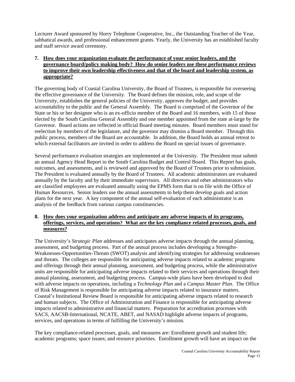Lecturer Award sponsored by Horry Telephone Cooperative, Inc., the Outstanding Teacher of the Year, sabbatical awards, and professional enhancement grants. Yearly, the University has an established faculty and staff service award ceremony.

## **7. How does your organization evaluate the performance of your senior leaders, and the governance board/policy making body? How do senior leaders use these performance reviews to improve their own leadership effectiveness and that of the board and leadership system, as appropriate?**

The governing body of Coastal Carolina University, the Board of Trustees, is responsible for overseeing the effective governance of the University. The Board defines the mission, role, and scope of the University, establishes the general policies of the University, approves the budget, and provides accountability to the public and the General Assembly. The Board is comprised of the Governor of the State or his or her designee who is an ex-officio member of the Board and 16 members, with 15 of those elected by the South Carolina General Assembly and one member appointed from the state at-large by the Governor. Board actions are reflected in official Board meeting minutes. Board members must stand for reelection by members of the legislature, and the governor may dismiss a Board member. Through this public process, members of the Board are accountable. In addition, the Board holds an annual retreat to which external facilitators are invited in order to address the Board on special issues of governance.

Several performance evaluation strategies are implemented at the University. The President must submit an annual Agency Head Report to the South Carolina Budget and Control Board. This Report has goals, outcomes, and assessments, and is reviewed and approved by the Board of Trustees prior to submission. The President is evaluated annually by the Board of Trustees. All academic administrators are evaluated annually by the faculty and by their immediate supervisors. All directors and other administrators who are classified employees are evaluated annually using the EPMS form that is on file with the Office of Human Resources. Senior leaders use the annual assessments to help them develop goals and action plans for the next year. A key component of the annual self-evaluation of each administrator is an analysis of the feedback from various campus constituencies.

#### **8. How does your organization address and anticipate any adverse impacts of its programs, offerings, services, and operations? What are the key compliance related processes, goals, and measures?**

The University's *Strategic Plan* addresses and anticipates adverse impacts through the annual planning, assessment, and budgeting process. Part of the annual process includes developing a Strengths-Weaknesses-Opportunities-Threats (SWOT) analysis and identifying strategies for addressing weaknesses and threats. The colleges are responsible for anticipating adverse impacts related to academic programs and offerings through their annual planning, assessment, and budgeting process, while the administrative units are responsible for anticipating adverse impacts related to their services and operations through their annual planning, assessment, and budgeting process. Campus-wide plans have been developed to deal with adverse impacts on operations, including a *Technology Plan* and a *Campus Master Plan*. The Office of Risk Management is responsible for anticipating adverse impacts related to insurance matters. Coastal's Institutional Review Board is responsible for anticipating adverse impacts related to research and human subjects. The Office of Administration and Finance is responsible for anticipating adverse impacts related to administrative and financial matters. Preparation for accreditation processes with SACS, AACSB-International, NCATE, ABET, and NASAD highlight adverse impacts of programs, services, and operations in terms of fulfilling the University's mission.

The key compliance-related processes, goals, and measures are: Enrollment growth and student life; academic programs; space issues; and resource priorities. Enrollment growth will have an impact on the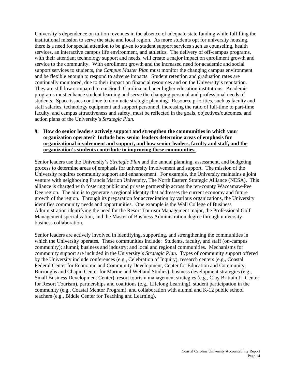University's dependence on tuition revenues in the absence of adequate state funding while fulfilling the institutional mission to serve the state and local region. As more students opt for university housing, there is a need for special attention to be given to student support services such as counseling, health services, an interactive campus life environment, and athletics. The delivery of off-campus programs, with their attendant technology support and needs, will create a major impact on enrollment growth and service to the community. With enrollment growth and the increased need for academic and social support services to students, the *Campus Master Plan* must monitor the changing campus environment and be flexible enough to respond to adverse impacts. Student retention and graduation rates are continually monitored, due to their impact on financial resources and on the University's reputation. They are still low compared to our South Carolina and peer higher education institutions. Academic programs must enhance student learning and serve the changing personal and professional needs of students. Space issues continue to dominate strategic planning. Resource priorities, such as faculty and staff salaries, technology equipment and support personnel, increasing the ratio of full-time to part-time faculty, and campus attractiveness and safety, must be reflected in the goals, objectives/outcomes, and action plans of the University's *Strategic Plan*.

#### **9. How do senior leaders actively support and strengthen the communities in which your organization operates? Include how senior leaders determine areas of emphasis for organizational involvement and support, and how senior leaders, faculty and staff, and the organization's students contribute to improving these communities.**

Senior leaders use the University's *Strategic Plan* and the annual planning, assessment, and budgeting process to determine areas of emphasis for university involvement and support. The mission of the University requires community support and enhancement. For example, the University maintains a joint venture with neighboring Francis Marion University, The North Eastern Strategic Alliance (NESA). This alliance is charged with fostering public and private partnership across the ten-county Waccamaw-Pee Dee region. The aim is to generate a regional identity that addresses the current economy and future growth of the region. Through its preparation for accreditation by various organizations, the University identifies community needs and opportunities. One example is the Wall College of Business Administration identifying the need for the Resort Tourism Management major, the Professional Golf Management specialization, and the Master of Business Administration degree through universitybusiness collaboration.

Senior leaders are actively involved in identifying, supporting, and strengthening the communities in which the University operates. These communities include: Students, faculty, and staff (on-campus community); alumni; business and industry; and local and regional communities. Mechanisms for community support are included in the University's *Strategic Plan*. Types of community support offered by the University include conferences (e.g., Celebration of Inquiry), research centers (e.g., Coastal Federal Center for Economic and Community Development, Center for Education and Community, Burroughs and Chapin Center for Marine and Wetland Studies), business development strategies (e.g., Small Business Development Center), resort tourism management strategies (e.g., Clay Brittain Jr. Center for Resort Tourism), partnerships and coalitions (e.g., Lifelong Learning), student participation in the community (e.g., Coastal Mentor Program), and collaboration with alumni and K-12 public school teachers (e.g., Biddle Center for Teaching and Learning).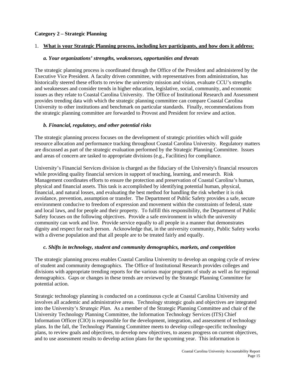#### **Category 2 – Strategic Planning**

#### 1. **What is your Strategic Planning process, including key participants, and how does it address**:

#### *a. Your organizations' strengths, weaknesses, opportunities and threats*

The strategic planning process is coordinated through the Office of the President and administered by the Executive Vice President. A faculty driven committee, with representatives from administration, has historically steered these efforts to review the university mission and vision, evaluate CCU's strengths and weaknesses and consider trends in higher education, legislative, social, community, and economic issues as they relate to Coastal Carolina University. The Office of Institutional Research and Assessment provides trending data with which the strategic planning committee can compare Coastal Carolina University to other institutions and benchmark on particular standards. Finally, recommendations from the strategic planning committee are forwarded to Provost and President for review and action.

## *b. Financial, regulatory, and other potential risks*

The strategic planning process focuses on the development of strategic priorities which will guide resource allocation and performance tracking throughout Coastal Carolina University. Regulatory matters are discussed as part of the strategic evaluation performed by the Strategic Planning Committee. Issues and areas of concern are tasked to appropriate divisions (e.g., Facilities) for compliance.

University's Financial Services division is charged as the fiduciary of the University's financial resources while providing quality financial services in support of teaching, learning, and research. Risk Management coordinates efforts to ensure the protection and preservation of Coastal Carolina's human, physical and financial assets. This task is accomplished by identifying potential human, physical, financial, and natural losses, and evaluating the best method for handling the risk whether it is risk avoidance, prevention, assumption or transfer. The Department of Public Safety provides a safe, secure environment conducive to freedom of expression and movement within the constraints of federal, state and local laws, and for people and their property. To fulfill this responsibility, the Department of Public Safety focuses on the following objectives. Provide a safe environment in which the university community can work and live. Provide service equally to all people in a manner that demonstrates dignity and respect for each person. Acknowledge that, in the university community, Public Safety works with a diverse population and that all people are to be treated fairly and equally.

## *c. Shifts in technology, student and community demographics, markets, and competition*

The strategic planning process enables Coastal Carolina University to develop an ongoing cycle of review of student and community demographics. The Office of Institutional Research provides colleges and divisions with appropriate trending reports for the various major programs of study as well as for regional demographics. Gaps or changes in these trends are reviewed by the Strategic Planning Committee for potential action.

Strategic technology planning is conducted on a continuous cycle at Coastal Carolina University and involves all academic and administrative areas. Technology strategic goals and objectives are integrated into the University's *Strategic Plan*. As a member of the Strategic Planning Committee and chair of the University Technology Planning Committee, the Information Technology Services (ITS) Chief Information Officer (CIO) is responsible for the development, integration, and assessment of technology plans. In the fall, the Technology Planning Committee meets to develop college-specific technology plans, to review goals and objectives, to develop new objectives, to assess progress on current objectives, and to use assessment results to develop action plans for the upcoming year. This information is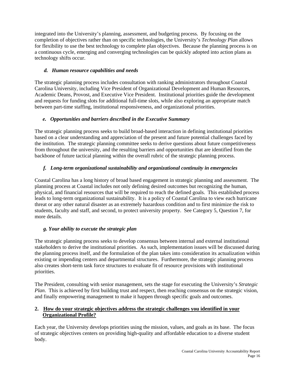integrated into the University's planning, assessment, and budgeting process. By focusing on the completion of objectives rather than on specific technologies, the University's *Technology Plan* allows for flexibility to use the best technology to complete plan objectives. Because the planning process is on a continuous cycle, emerging and converging technologies can be quickly adopted into action plans as technology shifts occur.

# *d. Human resource capabilities and needs*

The strategic planning process includes consultation with ranking administrators throughout Coastal Carolina University, including Vice President of Organizational Development and Human Resources, Academic Deans, Provost, and Executive Vice President. Institutional priorities guide the development and requests for funding slots for additional full-time slots, while also exploring an appropriate match between part-time staffing, institutional responsiveness, and organizational priorities.

# *e. Opportunities and barriers described in the Executive Summary*

The strategic planning process seeks to build broad-based interaction in defining institutional priorities based on a clear understanding and appreciation of the present and future potential challenges faced by the institution. The strategic planning committee seeks to derive questions about future competitiveness from throughout the university, and the resulting barriers and opportunities that are identified from the backbone of future tactical planning within the overall rubric of the strategic planning process.

# *f. Long-term organizational sustainability and organizational continuity in emergencies*

Coastal Carolina has a long history of broad based engagement in strategic planning and assessment. The planning process at Coastal includes not only defining desired outcomes but recognizing the human, physical, and financial resources that will be required to reach the defined goals. This established process leads to long-term organizational sustainability. It is a policy of Coastal Carolina to view each hurricane threat or any other natural disaster as an extremely hazardous condition and to first minimize the risk to students, faculty and staff, and second, to protect university property. See Category 5, Question 7, for more details.

## *g. Your ability to execute the strategic plan*

The strategic planning process seeks to develop consensus between internal and external institutional stakeholders to derive the institutional priorities. As such, implementation issues will be discussed during the planning process itself, and the formulation of the plan takes into consideration its actualization within existing or impending centers and departmental structures. Furthermore, the strategic planning process also creates short-term task force structures to evaluate fit of resource provisions with institutional priorities.

The President, consulting with senior management, sets the stage for executing the University's *Strategic Plan*. This is achieved by first building trust and respect, then reaching consensus on the strategic vision, and finally empowering management to make it happen through specific goals and outcomes.

## **2. How do your strategic objectives address the strategic challenges you identified in your Organizational Profile?**

Each year, the University develops priorities using the mission, values, and goals as its base. The focus of strategic objectives centers on providing high-quality and affordable education to a diverse student body.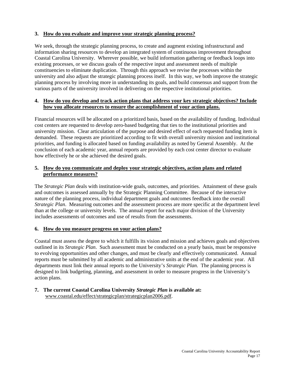## **3. How do you evaluate and improve your strategic planning process?**

We seek, through the strategic planning process, to create and augment existing infrastructural and information sharing resources to develop an integrated system of continuous improvement throughout Coastal Carolina University. Wherever possible, we build information gathering or feedback loops into existing processes, or we discuss goals of the respective input and assessment needs of multiple constituencies to eliminate duplication. Through this approach we revise the processes within the university and also adjust the strategic planning process itself. In this way, we both improve the strategic planning process by involving more in understanding its goals, and build consensus and support from the various parts of the university involved in delivering on the respective institutional priorities.

#### **4. How do you develop and track action plans that address your key strategic objectives? Include how you allocate resources to ensure the accomplishment of your action plans.**

Financial resources will be allocated on a prioritized basis, based on the availability of funding. Individual cost centers are requested to develop zero-based budgeting that ties to the institutional priorities and university mission. Clear articulation of the purpose and desired effect of each requested funding item is demanded. These requests are prioritized according to fit with overall university mission and institutional priorities, and funding is allocated based on funding availability as noted by General Assembly. At the conclusion of each academic year, annual reports are provided by each cost center director to evaluate how effectively he or she achieved the desired goals.

## **5. How do you communicate and deploy your strategic objectives, action plans and related performance measures?**

The *Strategic Plan* deals with institution-wide goals, outcomes, and priorities. Attainment of these goals and outcomes is assessed annually by the Strategic Planning Committee. Because of the interactive nature of the planning process, individual department goals and outcomes feedback into the overall *Strategic Plan*. Measuring outcomes and the assessment process are more specific at the department level than at the college or university levels. The annual report for each major division of the University includes assessments of outcomes and use of results from the assessments.

#### **6. How do you measure progress on your action plans?**

Coastal must assess the degree to which it fulfills its vision and mission and achieves goals and objectives outlined in its *Strategic Plan*. Such assessment must be conducted on a yearly basis, must be responsive to evolving opportunities and other changes, and must be clearly and effectively communicated. Annual reports must be submitted by all academic and administrative units at the end of the academic year. All departments must link their annual reports to the University's *Strategic Plan*. The planning process is designed to link budgeting, planning, and assessment in order to measure progress in the University's action plans.

## **7. The current Coastal Carolina University** *Strategic Plan* **is available at:**  [www.coastal.edu/effect/strategicplan/strategicplan2006.pdf.](http://www.coastal.edu/effect/strategicplan/strategicplan2006.pdf)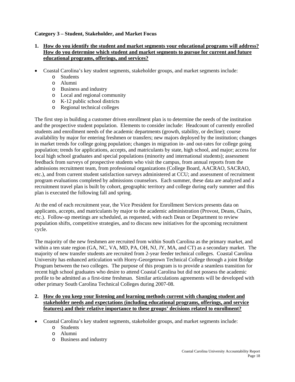## **Category 3 – Student, Stakeholder, and Market Focus**

## **1. How do you identify the student and market segments your educational programs will address? How do you determine which student and market segments to pursue for current and future educational programs, offerings, and services?**

- Coastal Carolina's key student segments, stakeholder groups, and market segments include:
	- o Students
	- o Alumni
	- o Business and industry
	- o Local and regional community
	- o K-12 public school districts
	- o Regional technical colleges

The first step in building a customer driven enrollment plan is to determine the needs of the institution and the prospective student population. Elements to consider include: Headcount of currently enrolled students and enrollment needs of the academic departments (growth, stability, or decline); course availability by major for entering freshmen or transfers; new majors deployed by the institution; changes in market trends for college going population; changes in migration in- and out-rates for college going population; trends for applications, accepts, and matriculants by state, high school, and major; access for local high school graduates and special populations (minority and international students); assessment feedback from surveys of prospective students who visit the campus, from annual reports from the admissions recruitment team, from professional organizations (College Board, AACRAO, SACRAO, etc.), and from current student satisfaction surveys administered at CCU; and assessment of recruitment program evaluations completed by admissions counselors. Each summer, these data are analyzed and a recruitment travel plan is built by cohort, geographic territory and college during early summer and this plan is executed the following fall and spring.

At the end of each recruitment year, the Vice President for Enrollment Services presents data on applicants, accepts, and matriculants by major to the academic administration (Provost, Deans, Chairs, etc.). Follow-up meetings are scheduled, as requested, with each Dean or Department to review population shifts, competitive strategies, and to discuss new initiatives for the upcoming recruitment cycle.

The majority of the new freshmen are recruited from within South Carolina as the primary market, and within a ten state region (GA, NC, VA, MD, PA, OH, NJ, JY, MA, and CT) as a secondary market. The majority of new transfer students are recruited from 2-year feeder technical colleges. Coastal Carolina University has enhanced articulation with Horry-Georgetown Technical College through a joint Bridge Program between the two colleges. The purpose of this program is to provide a seamless transition for recent high school graduates who desire to attend Coastal Carolina but did not possess the academic profile to be admitted as a first-time freshman. Similar articulations agreements will be developed with other primary South Carolina Technical Colleges during 2007-08.

- **2. How do you keep your listening and learning methods current with changing student and stakeholder needs and expectations (including educational programs, offerings, and service features) and their relative importance to these groups' decisions related to enrollment?**
- Coastal Carolina's key student segments, stakeholder groups, and market segments include:
	- o Students
	- o Alumni
	- o Business and industry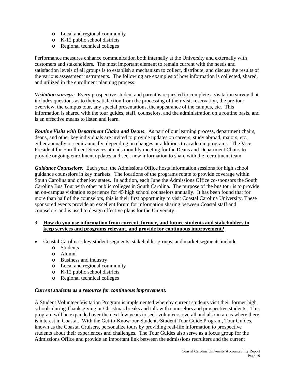- o Local and regional community
- o K-12 public school districts
- o Regional technical colleges

Performance measures enhance communication both internally at the University and externally with customers and stakeholders. The most important element to remain current with the needs and satisfaction levels of all groups is to establish a mechanism to collect, distribute, and discuss the results of the various assessment instruments. The following are examples of how information is collected, shared, and utilized in the enrollment planning process:

*Visitation surveys:* Every prospective student and parent is requested to complete a visitation survey that includes questions as to their satisfaction from the processing of their visit reservation, the pre-tour overview, the campus tour, any special presentations, the appearance of the campus, etc. This information is shared with the tour guides, staff, counselors, and the administration on a routine basis, and is an effective means to listen and learn.

*Routine Visits with Department Chairs and Deans*: As part of our learning process, department chairs, deans, and other key individuals are invited to provide updates on careers, study abroad, majors, etc., either annually or semi-annually, depending on changes or additions to academic programs. The Vice President for Enrollment Services attends monthly meeting for the Deans and Department Chairs to provide ongoing enrollment updates and seek new information to share with the recruitment team.

*Guidance Counselors:* Each year, the Admissions Office hosts information sessions for high school guidance counselors in key markets. The locations of the programs rotate to provide coverage within South Carolina and other key states. In addition, each June the Admissions Office co-sponsors the South Carolina Bus Tour with other public colleges in South Carolina. The purpose of the bus tour is to provide an on-campus visitation experience for 45 high school counselors annually. It has been found that for more than half of the counselors, this is their first opportunity to visit Coastal Carolina University. These sponsored events provide an excellent forum for information sharing between Coastal staff and counselors and is used to design effective plans for the University.

#### **3. How do you use information from current, former, and future students and stakeholders to keep services and programs relevant, and provide for continuous improvement?**

- Coastal Carolina's key student segments, stakeholder groups, and market segments include:
	- o Students
	- o Alumni
	- o Business and industry
	- o Local and regional community
	- o K-12 public school districts
	- o Regional technical colleges

#### *Current students as a resource for continuous improvement:*

A Student Volunteer Visitation Program is implemented whereby current students visit their former high schools during Thanksgiving or Christmas breaks and talk with counselors and prospective students. This program will be expanded over the next few years to seek volunteers overall and also in areas where there is interest in Coastal. With the Get-to-Know-our-Students/Student Tour Guide Program, Tour Guides, known as the Coastal Cruisers, personalize tours by providing real-life information to prospective students about their experiences and challenges. The Tour Guides also serve as a focus group for the Admissions Office and provide an important link between the admissions recruiters and the current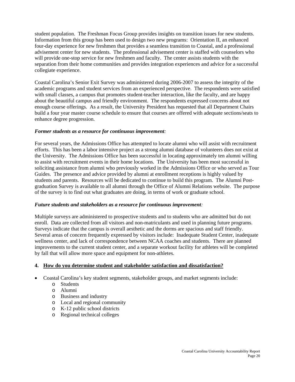student population. The Freshman Focus Group provides insights on transition issues for new students. Information from this group has been used to design two new programs: Orientation II, an enhanced four-day experience for new freshmen that provides a seamless transition to Coastal, and a professional advisement center for new students. The professional advisement center is staffed with counselors who will provide one-stop service for new freshmen and faculty. The center assists students with the separation from their home communities and provides integration experiences and advice for a successful collegiate experience.

Coastal Carolina's Senior Exit Survey was administered during 2006-2007 to assess the integrity of the academic programs and student services from an experienced perspective. The respondents were satisfied with small classes, a campus that promotes student-teacher interaction, like the faculty, and are happy about the beautiful campus and friendly environment. The respondents expressed concerns about not enough course offerings. As a result, the University President has requested that all Department Chairs build a four year master course schedule to ensure that courses are offered with adequate sections/seats to enhance degree progression.

#### *Former students as a resource for continuous improvement:*

For several years, the Admissions Office has attempted to locate alumni who will assist with recruitment efforts. This has been a labor intensive project as a strong alumni database of volunteers does not exist at the University. The Admissions Office has been successful in locating approximately ten alumni willing to assist with recruitment events in their home locations. The University has been most successful in soliciting assistance from alumni who previously worked in the Admissions Office or who served as Tour Guides. The presence and advice provided by alumni at enrollment receptions is highly valued by students and parents. Resources will be dedicated to continue to build this program. The Alumni Postgraduation Survey is available to all alumni through the Office of Alumni Relations website. The purpose of the survey is to find out what graduates are doing, in terms of work or graduate school.

#### *Future students and stakeholders as a resource for continuous improvement:*

Multiple surveys are administered to prospective students and to students who are admitted but do not enroll. Data are collected from all visitors and non-matriculants and used in planning future programs. Surveys indicate that the campus is overall aesthetic and the dorms are spacious and staff friendly. Several areas of concern frequently expressed by visitors include: Inadequate Student Center, inadequate wellness center, and lack of correspondence between NCAA coaches and students. There are planned improvements to the current student center, and a separate workout facility for athletes will be completed by fall that will allow more space and equipment for non-athletes.

## **4. How do you determine student and stakeholder satisfaction and dissatisfaction?**

- Coastal Carolina's key student segments, stakeholder groups, and market segments include:
	- o Students
		- o Alumni
		- o Business and industry
		- o Local and regional community
		- o K-12 public school districts
		- o Regional technical colleges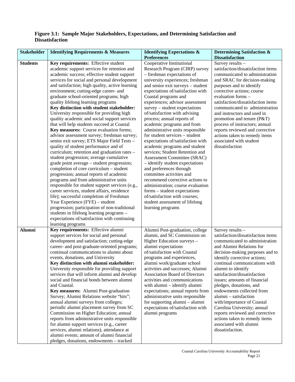## **Figure 3.1: Sample Major Stakeholders, Expectations, and Determining Satisfaction and Dissatisfaction**

| <b>Stakeholder</b> | <b>Identifying Requirements &amp; Measures</b>                                                 | <b>Identifying Expectations &amp;</b><br><b>Preferences</b>       | <b>Determining Satisfaction &amp;</b><br><b>Dissatisfaction</b> |
|--------------------|------------------------------------------------------------------------------------------------|-------------------------------------------------------------------|-----------------------------------------------------------------|
| <b>Students</b>    | Key requirements: Effective student                                                            | Cooperative Institutional                                         | Survey results -                                                |
|                    | academic support services for retention and                                                    | Research Program (CIRP) survey                                    | satisfaction/dissatisfaction items                              |
|                    | academic success; effective student support                                                    | - freshman expectations of                                        | communicated to administration                                  |
|                    | services for social and personal development                                                   | university experiences; freshman                                  | and SRAC for decision-making                                    |
|                    | and satisfaction; high quality, active learning                                                | and senior exit surveys - student                                 | purposes and to identify                                        |
|                    | environment; cutting-edge career- and                                                          | expectations of/satisfaction with                                 | corrective actions; course<br>evaluation forms -                |
|                    | graduate school-oriented programs; high<br>quality lifelong learning programs                  | Coastal programs and<br>experiences; advisor assessment           | satisfaction/dissatisfaction items                              |
|                    | Key distinction with student stakeholder:                                                      | $s$ urvey – student expectations                                  | communicated to administration                                  |
|                    | University responsible for providing high                                                      | of/satisfaction with advising                                     | and instructors and used in                                     |
|                    | quality academic and social support services                                                   | process; annual reports of                                        | promotion and tenure (P&T)                                      |
|                    | that will help students succeed at Coastal                                                     | academic programs and from                                        | process of instructors; annual                                  |
|                    | Key measures: Course evaluation forms;                                                         | administrative units responsible                                  | reports reviewed and corrective                                 |
|                    | advisor assessment survey; freshman survey;                                                    | for student services - student                                    | actions taken to remedy items                                   |
|                    | senior exit survey; ETS Major Field Tests -                                                    | expectations of/satisfaction with                                 | associated with student                                         |
|                    | quality of student performance and of                                                          | academic programs and student                                     | dissatisfaction                                                 |
|                    | curriculum; retention and graduation rates -                                                   | services; Student Retention and                                   |                                                                 |
|                    | student progression; average cumulative                                                        | Assessment Committee (SRAC)                                       |                                                                 |
|                    | grade point average - student progression;                                                     | - identify student expectations                                   |                                                                 |
|                    | completion of core curriculum - student                                                        | and preferences through                                           |                                                                 |
|                    | progression; annual reports of academic                                                        | committee activities and                                          |                                                                 |
|                    | programs and from administrative units                                                         | recommend corrective actions to                                   |                                                                 |
|                    | responsible for student support services (e.g.,<br>career services, student affairs, residence | administration; course evaluation<br>forms – student expectations |                                                                 |
|                    | life); successful completion of Freshman                                                       | of/satisfaction with courses;                                     |                                                                 |
|                    | Year Experience (FYE) - student                                                                | student assessment of lifelong                                    |                                                                 |
|                    | progression; participation of non-traditional                                                  | learning programs                                                 |                                                                 |
|                    | students in lifelong learning programs -                                                       |                                                                   |                                                                 |
|                    | expectations of/satisfaction with continuing                                                   |                                                                   |                                                                 |
|                    | learning programs                                                                              |                                                                   |                                                                 |
| <b>Alumni</b>      | Key requirements: Effective alumni                                                             | Alumni Post-graduation, college                                   | Survey results -                                                |
|                    | support services for social and personal                                                       | alumni, and SC Commission on                                      | satisfaction/dissatisfaction items                              |
|                    | development and satisfaction; cutting-edge                                                     | Higher Education surveys -                                        | communicated to administration                                  |
|                    | career- and post-graduate-oriented programs;                                                   | alumni expectations                                               | and Alumni Relations for                                        |
|                    | continual communications to alumni about                                                       | of/satisfaction with Coastal                                      | decision-making purposes and to                                 |
|                    | events, donations, and University                                                              | programs and experiences,                                         | identify corrective actions;                                    |
|                    | Key distinction with alumni stakeholder:<br>University responsible for providing support       | alumni work/graduate school<br>activities and successes; Alumni   | continual communications with<br>alumni to identify             |
|                    | services that will inform alumni and develop                                                   | Association Board of Directors                                    | satisfaction/dissatisfaction                                    |
|                    | social and financial bonds between alumni                                                      | activities and communications                                     | issues; amounts of financial                                    |
|                    | and Coastal.                                                                                   | with alumni – identify alumni                                     | pledges, donations, and                                         |
|                    | Key measures: Alumni Post-graduation                                                           | expectations; annual reports from                                 | endowments collected from                                       |
|                    | Survey; Alumni Relations website "hits";                                                       | administrative units responsible                                  | alumni - satisfaction                                           |
|                    | annual alumni surveys from colleges;                                                           | for supporting alumni – alumni                                    | with/importance of Coastal                                      |
|                    | periodic alumni placement survey from SC                                                       | expectations of/satisfaction with                                 | Carolina University; annual                                     |
|                    | Commission on Higher Education; annual                                                         | alumni programs                                                   | reports reviewed and corrective                                 |
|                    | reports from administrative units responsible                                                  |                                                                   | actions taken to remedy items                                   |
|                    | for alumni support services (e.g., career                                                      |                                                                   | associated with alumni                                          |
|                    | services, alumni relations); attendance at                                                     |                                                                   | dissatisfaction.                                                |
|                    | alumni events; amount of alumni financial                                                      |                                                                   |                                                                 |
|                    | pledges, donations, endowments - tracked                                                       |                                                                   |                                                                 |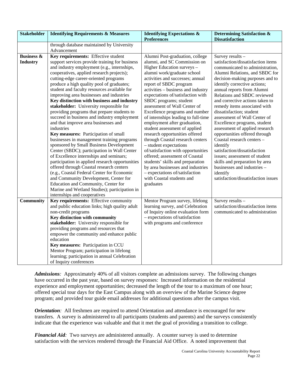| <b>Stakeholder</b>                       | <b>Identifying Requirements &amp; Measures</b>                                                                                                                                                                                                                                                                                                                                                                                                                                                                                                                                                                                                                                                                                                                                                                                                                                                                                                                                                                                                                                                                                                           | <b>Identifying Expectations &amp;</b><br><b>Preferences</b>                                                                                                                                                                                                                                                                                                                                                                                                                                                                                                                                                                                                                                                                                                                                            | <b>Determining Satisfaction &amp;</b><br><b>Dissatisfaction</b>                                                                                                                                                                                                                                                                                                                                                                                                                                                                                                                                                                                                                                                              |
|------------------------------------------|----------------------------------------------------------------------------------------------------------------------------------------------------------------------------------------------------------------------------------------------------------------------------------------------------------------------------------------------------------------------------------------------------------------------------------------------------------------------------------------------------------------------------------------------------------------------------------------------------------------------------------------------------------------------------------------------------------------------------------------------------------------------------------------------------------------------------------------------------------------------------------------------------------------------------------------------------------------------------------------------------------------------------------------------------------------------------------------------------------------------------------------------------------|--------------------------------------------------------------------------------------------------------------------------------------------------------------------------------------------------------------------------------------------------------------------------------------------------------------------------------------------------------------------------------------------------------------------------------------------------------------------------------------------------------------------------------------------------------------------------------------------------------------------------------------------------------------------------------------------------------------------------------------------------------------------------------------------------------|------------------------------------------------------------------------------------------------------------------------------------------------------------------------------------------------------------------------------------------------------------------------------------------------------------------------------------------------------------------------------------------------------------------------------------------------------------------------------------------------------------------------------------------------------------------------------------------------------------------------------------------------------------------------------------------------------------------------------|
|                                          | through database maintained by University<br>Advancement                                                                                                                                                                                                                                                                                                                                                                                                                                                                                                                                                                                                                                                                                                                                                                                                                                                                                                                                                                                                                                                                                                 |                                                                                                                                                                                                                                                                                                                                                                                                                                                                                                                                                                                                                                                                                                                                                                                                        |                                                                                                                                                                                                                                                                                                                                                                                                                                                                                                                                                                                                                                                                                                                              |
| <b>Business &amp;</b><br><b>Industry</b> | Key requirements: Effective student<br>support services provide training for business<br>and industry employment (e.g., internships,<br>cooperatives, applied research projects);<br>cutting-edge career-oriented programs<br>produce a high quality pool of graduates;<br>student and faculty resources available for<br>improving area businesses and industries<br>Key distinction with business and industry<br>stakeholder: University responsible for<br>providing programs that prepare students to<br>succeed in business and industry employment<br>and that improve area businesses and<br>industries<br>Key measures: Participation of small<br>businesses in management training programs<br>sponsored by Small Business Development<br>Center (SBDC); participation in Wall Center<br>of Excellence internships and seminars;<br>participation in applied research opportunities<br>offered through Coastal research centers<br>(e.g., Coastal Federal Center for Economic<br>and Community Development, Center for<br>Education and Community, Center for<br>Marine and Wetland Studies); participation in<br>internships and cooperatives | Alumni Post-graduation, college<br>alumni, and SC Commission on<br>Higher Education surveys -<br>alumni work/graduate school<br>activities and successes; annual<br>report of SBDC program<br>activities – business and industry<br>expectations of/satisfaction with<br>SBDC programs; student<br>assessment of Wall Center of<br>Excellence programs and number<br>of internships leading to full-time<br>employment after graduation,<br>student assessment of applied<br>research opportunities offered<br>through Coastal research centers<br>- student expectations<br>of/satisfaction with opportunities<br>offered; assessment of Coastal<br>students' skills and preparation<br>by area businesses and industries<br>- expectations of/satisfaction<br>with Coastal students and<br>graduates | Survey results -<br>satisfaction/dissatisfaction items<br>communicated to administration,<br>Alumni Relations, and SBDC for<br>decision-making purposes and to<br>identify corrective actions;<br>annual reports from Alumni<br>Relations and SBDC reviewed<br>and corrective actions taken to<br>remedy items associated with<br>dissatisfaction; student<br>assessment of Wall Center of<br>Excellence programs, student<br>assessment of applied research<br>opportunities offered through<br>Coastal research centers -<br>identify<br>satisfaction/dissatisfaction<br>issues; assessment of student<br>skills and preparation by area<br>businesses and industries -<br>identify<br>satisfaction/dissatisfaction issues |
| Community                                | Key requirements: Effective community<br>and public education links; high quality adult<br>non-credit programs<br>Key distinction with community<br>stakeholder: University responsible for<br>providing programs and resources that<br>empower the community and enhance public<br>education<br>Key measures: Participation in CCU<br>Mentor Program; participation in lifelong<br>learning; participation in annual Celebration<br>of Inquiry conferences                                                                                                                                                                                                                                                                                                                                                                                                                                                                                                                                                                                                                                                                                              | Mentor Program survey, lifelong<br>learning survey, and Celebration<br>of Inquiry online evaluation form<br>- expectations of/satisfaction<br>with programs and conference                                                                                                                                                                                                                                                                                                                                                                                                                                                                                                                                                                                                                             | Survey results -<br>satisfaction/dissatisfaction items<br>communicated to administration                                                                                                                                                                                                                                                                                                                                                                                                                                                                                                                                                                                                                                     |

*Admissions:* Approximately 40% of all visitors complete an admissions survey. The following changes have occurred in the past year, based on survey responses: Increased information on the residential experience and employment opportunities; decreased the length of the tour to a maximum of one hour; offered special tour days for the East Campus along with an overview of the Marine Science degree program; and provided tour guide email addresses for additional questions after the campus visit.

*Orientation:* All freshmen are required to attend Orientation and attendance is encouraged for new transfers. A survey is administered to all participants (students and parents) and the surveys consistently indicate that the experience was valuable and that it met the goal of providing a transition to college.

*Financial Aid:* Two surveys are administered annually. A counter survey is used to determine satisfaction with the services rendered through the Financial Aid Office. A noted improvement that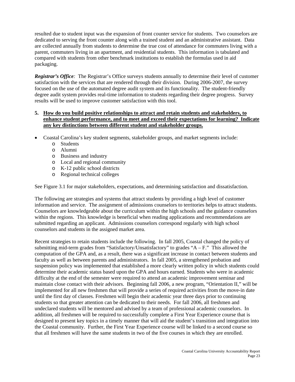resulted due to student input was the expansion of front counter service for students. Two counselors are dedicated to serving the front counter along with a trained student and an administrative assistant. Data are collected annually from students to determine the true cost of attendance for commuters living with a parent, commuters living in an apartment, and residential students. This information is tabulated and compared with students from other benchmark institutions to establish the formulas used in aid packaging.

*Registrar's Office:* The Registrar's Office surveys students annually to determine their level of customer satisfaction with the services that are rendered through their division. During 2006-2007, the survey focused on the use of the automated degree audit system and its functionality. The student-friendly degree audit system provides real-time information to students regarding their degree progress. Survey results will be used to improve customer satisfaction with this tool.

#### **5. How do you build positive relationships to attract and retain students and stakeholders, to enhance student performance, and to meet and exceed their expectations for learning? Indicate any key distinctions between different student and stakeholder groups.**

- Coastal Carolina's key student segments, stakeholder groups, and market segments include:
	- o Students
	- o Alumni
	- o Business and industry
	- o Local and regional community
	- o K-12 public school districts
	- o Regional technical colleges

See Figure 3.1 for major stakeholders, expectations, and determining satisfaction and dissatisfaction.

The following are strategies and systems that attract students by providing a high level of customer information and service. The assignment of admissions counselors to territories helps to attract students. Counselors are knowledgeable about the curriculum within the high schools and the guidance counselors within the regions. This knowledge is beneficial when reading applications and recommendations are submitted regarding an applicant. Admissions counselors correspond regularly with high school counselors and students in the assigned market area.

Recent strategies to retain students include the following. In fall 2005, Coastal changed the policy of submitting mid-term grades from "Satisfactory/Unsatisfactory" to grades " $A - F$ ." This allowed the computation of the GPA and, as a result, there was a significant increase in contact between students and faculty as well as between parents and administrators. In fall 2005, a strengthened probation and suspension policy was implemented that established a more clearly written policy in which students could determine their academic status based upon the GPA and hours earned. Students who were in academic difficulty at the end of the semester were required to attend an academic improvement seminar and maintain close contact with their advisors. Beginning fall 2006, a new program, "Orientation II," will be implemented for all new freshmen that will provide a series of required activities from the move-in date until the first day of classes. Freshmen will begin their academic year three days prior to continuing students so that greater attention can be dedicated to their needs. For fall 2006, all freshmen and undeclared students will be mentored and advised by a team of professional academic counselors. In addition, all freshmen will be required to successfully complete a First Year Experience course that is designed to present key topics in a timely manner that will aid the student's transition and integration into the Coastal community. Further, the First Year Experience course will be linked to a second course so that all freshmen will have the same students in two of the five courses in which they are enrolled.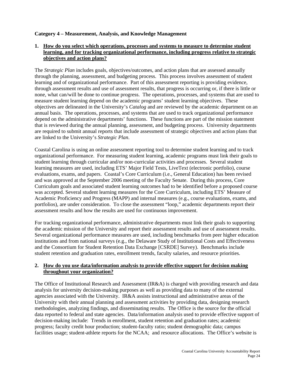#### **Category 4 – Measurement, Analysis, and Knowledge Management**

#### **1. How do you select which operations, processes and systems to measure to determine student learning, and for tracking organizational performance, including progress relative to strategic objectives and action plans?**

The *Strategic Plan* includes goals, objectives/outcomes, and action plans that are assessed annually through the planning, assessment, and budgeting process. This process involves assessment of student learning and of organizational performance. Part of this assessment reporting is providing evidence, through assessment results and use of assessment results, that progress is occurring or, if there is little or none, what can/will be done to continue progress. The operations, processes, and systems that are used to measure student learning depend on the academic programs' student learning objectives. These objectives are delineated in the University's *Catalog* and are reviewed by the academic department on an annual basis. The operations, processes, and systems that are used to track organizational performance depend on the administrative departments' functions. These functions are part of the mission statement that is reviewed during the annual planning, assessment, and budgeting process. University departments are required to submit annual reports that include assessment of strategic objectives and action plans that are linked to the University's *Strategic Plan*.

Coastal Carolina is using an online assessment reporting tool to determine student learning and to track organizational performance. For measuring student learning, academic programs must link their goals to student learning through curricular and/or non-curricular activities and processes. Several student learning measures are used, including ETS' Major Field Tests, LiveText (electronic portfolio), course evaluations, exams, and papers. Coastal's Core Curriculum (i.e., General Education) has been revised and was approved at the September 2006 meeting of the Faculty Senate. During this process, Core Curriculum goals and associated student learning outcomes had to be identified before a proposed course was accepted. Several student learning measures for the Core Curriculum, including ETS' Measure of Academic Proficiency and Progress (MAPP) and internal measures (e.g., course evaluations, exams, and portfolios), are under consideration. To close the assessment "loop," academic departments report their assessment results and how the results are used for continuous improvement.

For tracking organizational performance, administrative departments must link their goals to supporting the academic mission of the University and report their assessment results and use of assessment results. Several organizational performance measures are used, including benchmarks from peer higher education institutions and from national surveys (e.g., the Delaware Study of Institutional Costs and Effectiveness and the Consortium for Student Retention Data Exchange [CSRDE] Survey). Benchmarks include student retention and graduation rates, enrollment trends, faculty salaries, and resource priorities.

## **2. How do you use data/information analysis to provide effective support for decision making throughout your organization?**

The Office of Institutional Research and Assessment (IR&A) is charged with providing research and data analysis for university decision-making purposes as well as providing data to many of the external agencies associated with the University. IR&A assists instructional and administrative areas of the University with their annual planning and assessment activities by providing data, designing research methodologies, analyzing findings, and disseminating results. The Office is the source for the official data reported to federal and state agencies. Data/information analysis used to provide effective support of decision-making include: Trends in enrollment, student retention and graduation rates; academic progress; faculty credit hour production; student-faculty ratio; student demographic data; campus facilities usage; student-athlete reports for the NCAA; and resource allocations. The Office's website is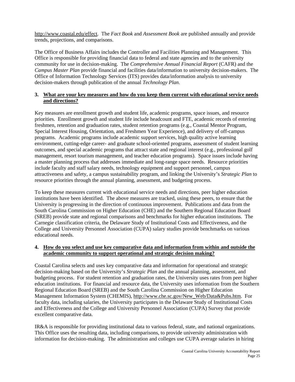<http://www.coastal.edu/effect>. The *Fact Book* and *Assessment Book* are published annually and provide trends, projections, and comparisons.

The Office of Business Affairs includes the Controller and Facilities Planning and Management. This Office is responsible for providing financial data to federal and state agencies and to the university community for use in decision-making. The *Comprehensive Annual Financial Report* (CAFR) and the *Campus Master Plan* provide financial and facilities data/information to university decision-makers. The Office of Information Technology Services (ITS) provides data/information analysis to university decision-makers through publication of the annual *Technology Plan*.

#### **3. What are your key measures and how do you keep them current with educational service needs and directions?**

Key measures are enrollment growth and student life, academic programs, space issues, and resource priorities. Enrollment growth and student life include headcount and FTE, academic records of entering freshmen, retention and graduation rates, student retention programs (e.g., Coastal Mentor Program, Special Interest Housing, Orientation, and Freshmen Year Experience), and delivery of off-campus programs. Academic programs include academic support services, high quality active learning environment, cutting-edge career- and graduate school-oriented programs, assessment of student learning outcomes, and special academic programs that attract state and regional interest (e.g., professional golf management, resort tourism management, and teacher education programs). Space issues include having a master planning process that addresses immediate and long-range space needs. Resource priorities include faculty and staff salary needs, technology equipment and support personnel, campus attractiveness and safety, a campus sustainability program, and linking the University's *Strategic Plan* to resource priorities through the annual planning, assessment, and budgeting process.

To keep these measures current with educational service needs and directions, peer higher education institutions have been identified. The above measures are tracked, using these peers, to ensure that the University is progressing in the direction of continuous improvement. Publications and data from the South Carolina Commission on Higher Education (CHE) and the Southern Regional Education Board (SREB) provide state and regional comparisons and benchmarks for higher education institutions. The Carnegie classification criteria, the Delaware Study of Institutional Costs and Effectiveness, and the College and University Personnel Association (CUPA) salary studies provide benchmarks on various educational needs.

## **4. How do you select and use key comparative data and information from within and outside the academic community to support operational and strategic decision making?**

Coastal Carolina selects and uses key comparative data and information for operational and strategic decision-making based on the University's *Strategic Plan* and the annual planning, assessment, and budgeting process. For student retention and graduation rates, the University uses rates from peer higher education institutions. For financial and resource data, the University uses information from the Southern Regional Education Board (SREB) and the South Carolina Commission on Higher Education Management Information System (CHEMIS), [http://www.che.sc.gov/New\\_Web/Data&Pubs.htm.](http://www.che.sc.gov/New_Web/Data&Pubs.htm) For faculty data, including salaries, the University participates in the Delaware Study of Institutional Costs and Effectiveness and the College and University Personnel Association (CUPA) Survey that provide excellent comparative data.

IR&A is responsible for providing institutional data to various federal, state, and national organizations. This Office uses the resulting data, including comparisons, to provide university administration with information for decision-making. The administration and colleges use CUPA average salaries in hiring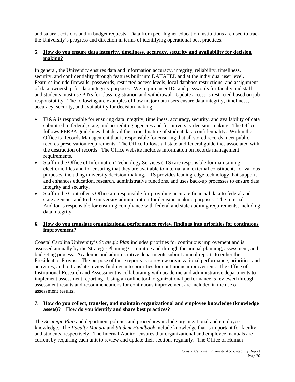and salary decisions and in budget requests. Data from peer higher education institutions are used to track the University's progress and direction in terms of identifying operational best practices.

## **5. How do you ensure data integrity, timeliness, accuracy, security and availability for decision making?**

In general, the University ensures data and information accuracy, integrity, reliability, timeliness, security, and confidentiality through features built into DATATEL and at the individual user level. Features include firewalls, passwords, restricted access levels, local database restrictions, and assignment of data ownership for data integrity purposes. We require user IDs and passwords for faculty and staff, and students must use PINs for class registration and withdrawal. Update access is restricted based on job responsibility. The following are examples of how major data users ensure data integrity, timeliness, accuracy, security, and availability for decision making.

- IR&A is responsible for ensuring data integrity, timeliness, accuracy, security, and availability of data submitted to federal, state, and accrediting agencies and for university decision-making. The Office follows FERPA guidelines that detail the critical nature of student data confidentiality. Within the Office is Records Management that is responsible for ensuring that all stored records meet public records preservation requirements. The Office follows all state and federal guidelines associated with the destruction of records. The Office website includes information on records management requirements.
- Staff in the Office of Information Technology Services (ITS) are responsible for maintaining electronic files and for ensuring that they are available to internal and external constituents for various purposes, including university decision-making. ITS provides leading-edge technology that supports and enhances education, research, administrative functions, and uses back-up processes to ensure data integrity and security.
- Staff in the Controller's Office are responsible for providing accurate financial data to federal and state agencies and to the university administration for decision-making purposes. The Internal Auditor is responsible for ensuring compliance with federal and state auditing requirements, including data integrity.

## **6. How do you translate organizational performance review findings into priorities for continuous improvement?**

Coastal Carolina University's *Strategic Plan* includes priorities for continuous improvement and is assessed annually by the Strategic Planning Committee and through the annual planning, assessment, and budgeting process. Academic and administrative departments submit annual reports to either the President or Provost. The purpose of these reports is to review organizational performance, priorities, and activities, and to translate review findings into priorities for continuous improvement. The Office of Institutional Research and Assessment is collaborating with academic and administrative departments to implement assessment reporting. Using an online tool, organizational performance is reviewed through assessment results and recommendations for continuous improvement are included in the use of assessment results.

## **7. How do you collect, transfer, and maintain organizational and employee knowledge (knowledge assets)? How do you identify and share best practices?**

The *Strategic Plan* and department policies and procedures include organizational and employee knowledge. The *Faculty Manual* and *Student Handbook* include knowledge that is important for faculty and students, respectively. The Internal Auditor ensures that organizational and employee manuals are current by requiring each unit to review and update their sections regularly. The Office of Human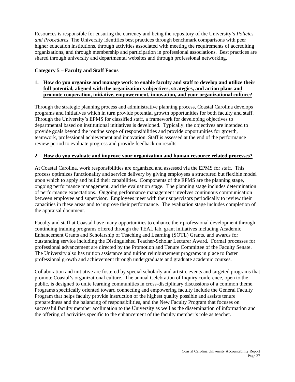Resources is responsible for ensuring the currency and being the repository of the University's *Policies and Procedures*. The University identifies best practices through benchmark comparisons with peer higher education institutions, through activities associated with meeting the requirements of accrediting organizations, and through membership and participation in professional associations. Best practices are shared through university and departmental websites and through professional networking.

## **Category 5 – Faculty and Staff Focus**

## **1. How do you organize and manage work to enable faculty and staff to develop and utilize their full potential, aligned with the organization's objectives, strategies, and action plans and promote cooperation, initiative, empowerment, innovation, and your organizational culture?**

Through the strategic planning process and administrative planning process, Coastal Carolina develops programs and initiatives which in turn provide potential growth opportunities for both faculty and staff. Through the University's EPMS for classified staff, a framework for developing objectives to departmental based on institutional initiatives is developed. Typically, the objectives are intended to provide goals beyond the routine scope of responsibilities and provide opportunities for growth, teamwork, professional achievement and innovation. Staff is assessed at the end of the performance review period to evaluate progress and provide feedback on results.

#### **2. How do you evaluate and improve your organization and human resource related processes?**

At Coastal Carolina, work responsibilities are organized and assessed via the EPMS for staff. This process optimizes functionality and service delivery by giving employees a structured but flexible model upon which to apply and build their capabilities. Components of the EPMS are the planning stage, ongoing performance management, and the evaluation stage. The planning stage includes determination of performance expectations. Ongoing performance management involves continuous communication between employee and supervisor. Employees meet with their supervisors periodically to review their capacities in these areas and to improve their performance. The evaluation stage includes completion of the appraisal document.

Faculty and staff at Coastal have many opportunities to enhance their professional development through continuing training programs offered through the TEAL lab, grant initiatives including Academic Enhancement Grants and Scholarship of Teaching and Learning (SOTL) Grants, and awards for outstanding service including the Distinguished Teacher-Scholar Lecturer Award. Formal processes for professional advancement are directed by the Promotion and Tenure Committee of the Faculty Senate. The University also has tuition assistance and tuition reimbursement programs in place to foster professional growth and achievement through undergraduate and graduate academic courses.

Collaboration and initiative are fostered by special scholarly and artistic events and targeted programs that promote Coastal's organizational culture. The annual Celebration of Inquiry conference, open to the public, is designed to unite learning communities in cross-disciplinary discussions of a common theme. Programs specifically oriented toward connecting and empowering faculty include the General Faculty Program that helps faculty provide instruction of the highest quality possible and assists tenure preparedness and the balancing of responsibilities, and the New Faculty Program that focuses on successful faculty member acclimation to the University as well as the dissemination of information and the offering of activities specific to the enhancement of the faculty member's role as teacher.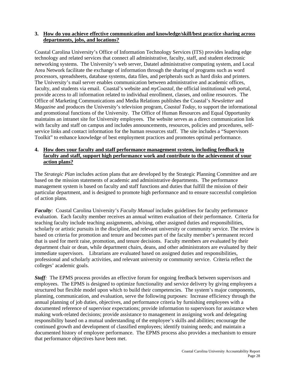#### **3. How do you achieve effective communication and knowledge/skill/best practice sharing across departments, jobs, and locations?**

Coastal Carolina University's Office of Information Technology Services (ITS) provides leading edge technology and related services that connect all administrative, faculty, staff, and student electronic networking systems. The University's web server, Datatel administrative computing system, and Local Area Network facilitate the exchange of information through the sharing of programs such as word processors, spreadsheets, database systems, data files, and peripherals such as hard disks and printers. The University's mail server enables communication between administrative and academic offices, faculty, and students via email. Coastal's website and *myCoastal*, the official institutional web portal, provide access to all information related to individual enrollment, classes, and online resources. The Office of Marketing Communications and Media Relations publishes the Coastal's *Newsletter* and *Magazine* and produces the University's television program, *Coastal Today*, to support the informational and promotional functions of the University. The Office of Human Resources and Equal Opportunity maintains an intranet site for University employees. The website serves as a direct communication link with faculty and staff on campus and includes announcements, resources, policies and procedures, selfservice links and contact information for the human resources staff. The site includes a "Supervisors Toolkit" to enhance knowledge of best employment practices and promotes optimal performance.

## **4. How does your faculty and staff performance management system, including feedback to faculty and staff, support high performance work and contribute to the achievement of your action plans?**

The *Strategic Plan* includes action plans that are developed by the Strategic Planning Committee and are based on the mission statements of academic and administrative departments. The performance management system is based on faculty and staff functions and duties that fulfill the mission of their particular department, and is designed to promote high performance and to ensure successful completion of action plans.

*Faculty:* Coastal Carolina University's *Faculty Manual* includes guidelines for faculty performance evaluation. Each faculty member receives an annual written evaluation of their performance. Criteria for teaching faculty include teaching assignments, advising, other assigned duties and responsibilities, scholarly or artistic pursuits in the discipline, and relevant university or community service. The review is based on criteria for promotion and tenure and becomes part of the faculty member's permanent record that is used for merit raise, promotion, and tenure decisions. Faculty members are evaluated by their department chair or dean, while department chairs, deans, and other administrators are evaluated by their immediate supervisors. Librarians are evaluated based on assigned duties and responsibilities, professional and scholarly activities, and relevant university or community service. Criteria reflect the colleges' academic goals.

*Staff*: The EPMS process provides an effective forum for ongoing feedback between supervisors and employees. The EPMS is designed to optimize functionality and service delivery by giving employees a structured but flexible model upon which to build their competencies. The system's major components, planning, communication, and evaluation, serve the following purposes: Increase efficiency through the annual planning of job duties, objectives, and performance criteria by furnishing employees with a documented reference of supervisor expectations; provide information to supervisors for assistance when making work-related decisions; provide assistance to management in assigning work and delegating responsibility based on a mutual understanding of the employee's skills and abilities; encourage the continued growth and development of classified employees; identify training needs; and maintain a documented history of employee performance. The EPMS process also provides a mechanism to ensure that performance objectives have been met.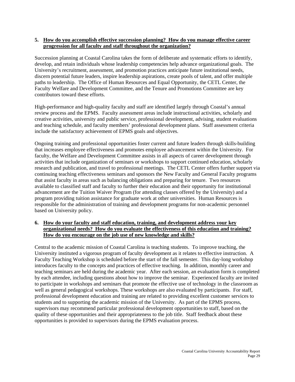#### **5. How do you accomplish effective succession planning? How do you manage effective career progression for all faculty and staff throughout the organization?**

Succession planning at Coastal Carolina takes the form of deliberate and systematic efforts to identify, develop, and retain individuals whose leadership competencies help advance organizational goals. The University's recruitment, assessment, and promotion practices anticipate future institutional needs, discern potential future leaders, inspire leadership aspirations, create pools of talent, and offer multiple paths to leadership. The Office of Human Resources and Equal Opportunity, the CETL Center, the Faculty Welfare and Development Committee, and the Tenure and Promotions Committee are key contributors toward these efforts.

High-performance and high-quality faculty and staff are identified largely through Coastal's annual review process and the EPMS. Faculty assessment areas include instructional activities, scholarly and creative activities, university and public service, professional development, advising, student evaluations and teaching schedule, and faculty members' professional development plans. Staff assessment criteria include the satisfactory achievement of EPMS goals and objectives.

Ongoing training and professional opportunities foster current and future leaders through skills-building that increases employee effectiveness and promotes employee advancement within the University. For faculty, the Welfare and Development Committee assists in all aspects of career development through activities that include organization of seminars or workshops to support continued education, scholarly research and publication, and travel to professional meetings. The CETL Center offers further support via continuing teaching effectiveness seminars and sponsors the New Faculty and General Faculty programs that assist faculty in areas such as balancing obligations and preparing for tenure. Two resources available to classified staff and faculty to further their education and their opportunity for institutional advancement are the Tuition Waiver Program (for attending classes offered by the University) and a program providing tuition assistance for graduate work at other universities. Human Resources is responsible for the administration of training and development programs for non-academic personnel based on University policy.

#### **6. How do your faculty and staff education, training, and development address your key organizational needs? How do you evaluate the effectiveness of this education and training? How do you encourage on the job use of new knowledge and skills?**

Central to the academic mission of Coastal Carolina is teaching students. To improve teaching, the University instituted a vigorous program of faculty development as it relates to effective instruction. A Faculty Teaching Workshop is scheduled before the start of the fall semester. This day-long workshop introduces faculty to the concepts and practices of effective teaching. In addition, monthly career and teaching seminars are held during the academic year. After each session, an evaluation form is completed by each attendee, including questions about how to improve the seminar. Experienced faculty are invited to participate in workshops and seminars that promote the effective use of technology in the classroom as well as general pedagogical workshops. These workshops are also evaluated by participants. For staff, professional development education and training are related to providing excellent customer services to students and to supporting the academic mission of the University. As part of the EPMS process, supervisors may recommend particular professional development opportunities to staff, based on the quality of these opportunities and their appropriateness to the job title. Staff feedback about these opportunities is provided to supervisors during the EPMS evaluation process.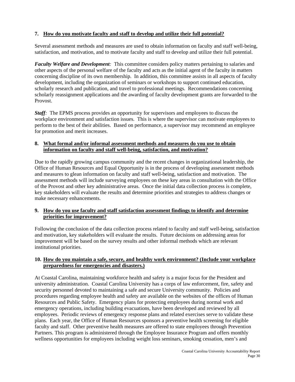## **7. How do you motivate faculty and staff to develop and utilize their full potential?**

Several assessment methods and measures are used to obtain information on faculty and staff well-being, satisfaction, and motivation, and to motivate faculty and staff to develop and utilize their full potential.

*Faculty Welfare and Development:* This committee considers policy matters pertaining to salaries and other aspects of the personal welfare of the faculty and acts as the initial agent of the faculty in matters concerning discipline of its own membership. In addition, this committee assists in all aspects of faculty development, including the organization of seminars or workshops to support continued education, scholarly research and publication, and travel to professional meetings. Recommendations concerning scholarly reassignment applications and the awarding of faculty development grants are forwarded to the Provost.

*Staff*: The EPMS process provides an opportunity for supervisors and employees to discuss the workplace environment and satisfaction issues. This is where the supervisor can motivate employees to perform to the best of their abilities. Based on performance, a supervisor may recommend an employee for promotion and merit increases.

#### **8. What formal and/or informal assessment methods and measures do you use to obtain information on faculty and staff well-being, satisfaction, and motivation?**

Due to the rapidly growing campus community and the recent changes in organizational leadership, the Office of Human Resources and Equal Opportunity is in the process of developing assessment methods and measures to glean information on faculty and staff well-being, satisfaction and motivation. The assessment methods will include surveying employees on these key areas in consultation with the Office of the Provost and other key administrative areas. Once the initial data collection process is complete, key stakeholders will evaluate the results and determine priorities and strategies to address changes or make necessary enhancements.

## **9. How do you use faculty and staff satisfaction assessment findings to identify and determine priorities for improvement?**

Following the conclusion of the data collection process related to faculty and staff well-being, satisfaction and motivation, key stakeholders will evaluate the results. Future decisions on addressing areas for improvement will be based on the survey results and other informal methods which are relevant institutional priorities.

#### **10. How do you maintain a safe, secure, and healthy work environment? (Include your workplace preparedness for emergencies and disasters.)**

At Coastal Carolina, maintaining workforce health and safety is a major focus for the President and university administration. Coastal Carolina University has a corps of law enforcement, fire, safety and security personnel devoted to maintaining a safe and secure University community. Policies and procedures regarding employee health and safety are available on the websites of the offices of Human Resources and Public Safety. Emergency plans for protecting employees during normal work and emergency operations, including building evacuations, have been developed and reviewed by all employees. Periodic reviews of emergency response plans and related exercises serve to validate these plans. Each year, the Office of Human Resources sponsors a preventive health screening for eligible faculty and staff. Other preventive health measures are offered to state employees through Prevention Partners. This program is administered through the Employee Insurance Program and offers monthly wellness opportunities for employees including weight loss seminars, smoking cessation, men's and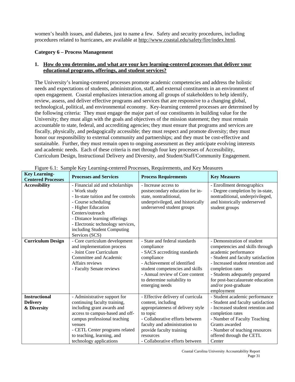women's health issues, and diabetes, just to name a few. Safety and security procedures, including procedures related to hurricanes, are available at [http://www.coastal.edu/safety/fire/index.html.](http://www.coastal.edu/safety/fire/index.html)

## **Category 6 – Process Management**

## **1. How do you determine, and what are your key learning-centered processes that deliver your educational programs, offerings, and student services?**

The University's learning-centered processes promote academic competencies and address the holistic needs and expectations of students, administration, staff, and external constituents in an environment of open engagement. Coastal emphasizes interaction among all groups of stakeholders to help identify, review, assess, and deliver effective programs and services that are responsive to a changing global, technological, political, and environmental economy. Key-learning centered processes are determined by the following criteria: They must engage the major part of our constituents in building value for the University; they must align with the goals and objectives of the mission statement; they must remain accountable to state, federal, and accrediting agencies; they must ensure that programs and services are fiscally, physically, and pedagogically accessible; they must respect and promote diversity; they must honor our responsibility to external community and partnerships; and they must be cost-effective and sustainable. Further, they must remain open to ongoing assessment as they anticipate evolving interests and academic needs. Each of these criteria is met through four key processes of Accessibility, Curriculum Design, Instructional Delivery and Diversity, and Student/Staff/Community Engagement.

| <b>Key Learning-</b>      | <b>Processes and Services</b>       | <b>Process Requirements</b>       | <b>Key Measures</b>                |
|---------------------------|-------------------------------------|-----------------------------------|------------------------------------|
| <b>Centered Processes</b> |                                     |                                   |                                    |
| <b>Accessibility</b>      | - Financial aid and scholarships    | - Increase access to              | - Enrollment demographics          |
|                           | - Work study                        | postsecondary education for in-   | - Degree completion by in-state,   |
|                           | - In-state tuition and fee controls | state, nontraditional,            | nontraditional, underprivileged,   |
|                           | - Course scheduling                 | underprivileged, and historically | and historically underserved       |
|                           | - Higher Education                  | underserved student groups        | student groups                     |
|                           | Centers/outreach                    |                                   |                                    |
|                           | - Distance learning offerings       |                                   |                                    |
|                           | - Electronic technology services,   |                                   |                                    |
|                           | including Student Computing         |                                   |                                    |
|                           | Services (SCS)                      |                                   |                                    |
| <b>Curriculum Design</b>  | - Core curriculum development       | - State and federal standards     | - Demonstration of student         |
|                           | and implementation process          | compliance                        | competencies and skills through    |
|                           | - Joint Core Curriculum             | - SACS accrediting standards      | academic performance               |
|                           | Committee and Academic              | compliance                        | - Student and faculty satisfaction |
|                           | Affairs reviews                     | - Achievement of identified       | - Increased student retention and  |
|                           | - Faculty Senate reviews            | student competencies and skills   | completion rates                   |
|                           |                                     | - Annual review of Core content   | - Students adequately prepared     |
|                           |                                     | to determine suitability to       | for post-baccalaureate education   |
|                           |                                     | emerging needs                    | and/or post-graduate               |
|                           |                                     |                                   | employment                         |
| <b>Instructional</b>      | - Administrative support for        | - Effective delivery of curricula | - Student academic performance     |
| <b>Delivery</b>           | continuing faculty training,        | content, including                | - Student and faculty satisfaction |
| & Diversity               | including grant awards and          | appropriateness of delivery style | - Increased student retention and  |
|                           | access to campus-based and off-     | to topic                          | completion rates                   |
|                           | campus professional teaching        | - Collaborative efforts between   | - Number of Faculty Teaching       |
|                           | venues                              | faculty and administration to     | Grants awarded                     |
|                           | - CETL Center programs related      | provide faculty training          | - Number of teaching resources     |
|                           | to teaching, learning, and          | resources                         | offered through the CETL           |
|                           | technology applications             | - Collaborative efforts between   | Center                             |

Figure 6.1: Sample Key Learning-centered Processes, Requirements, and Key Measures

Coastal Carolina University Accountability Report Page 31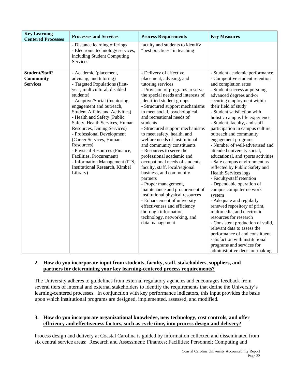| <b>Key Learning-</b><br><b>Centered Processes</b> | <b>Processes and Services</b>                                                                                                                                                                                                                                                                                                                                                                                                                                                                                                                                        | <b>Process Requirements</b>                                                                                                                                                                                                                                                                                                                                                                                                                                                                                                                                                                                                                                                                                                                                                                                                                 | <b>Key Measures</b>                                                                                                                                                                                                                                                                                                                                                                                                                                                                                                                                                                                                                                                                                                                                                                                                                                                                                                                                                                                                                     |
|---------------------------------------------------|----------------------------------------------------------------------------------------------------------------------------------------------------------------------------------------------------------------------------------------------------------------------------------------------------------------------------------------------------------------------------------------------------------------------------------------------------------------------------------------------------------------------------------------------------------------------|---------------------------------------------------------------------------------------------------------------------------------------------------------------------------------------------------------------------------------------------------------------------------------------------------------------------------------------------------------------------------------------------------------------------------------------------------------------------------------------------------------------------------------------------------------------------------------------------------------------------------------------------------------------------------------------------------------------------------------------------------------------------------------------------------------------------------------------------|-----------------------------------------------------------------------------------------------------------------------------------------------------------------------------------------------------------------------------------------------------------------------------------------------------------------------------------------------------------------------------------------------------------------------------------------------------------------------------------------------------------------------------------------------------------------------------------------------------------------------------------------------------------------------------------------------------------------------------------------------------------------------------------------------------------------------------------------------------------------------------------------------------------------------------------------------------------------------------------------------------------------------------------------|
|                                                   | - Distance learning offerings<br>- Electronic technology services,<br>including Student Computing<br>Services                                                                                                                                                                                                                                                                                                                                                                                                                                                        | faculty and students to identify<br>"best practices" in teaching                                                                                                                                                                                                                                                                                                                                                                                                                                                                                                                                                                                                                                                                                                                                                                            |                                                                                                                                                                                                                                                                                                                                                                                                                                                                                                                                                                                                                                                                                                                                                                                                                                                                                                                                                                                                                                         |
| Student/Staff/<br>Community<br><b>Services</b>    | - Academic (placement,<br>advising, and tutoring)<br>- Targeted Populations (first-<br>year, multicultural, disabled<br>students)<br>- Adaptive/Social (mentoring,<br>engagement and outreach,<br><b>Student Affairs and Activities)</b><br>- Health and Safety (Public<br>Safety, Health Services, Human<br>Resources, Dining Services)<br>- Professional Development<br>(Career Services, Human<br>Resources)<br>- Physical Resources (Finance,<br>Facilities, Procurement)<br>- Information Management (ITS,<br><b>Institutional Research, Kimbel</b><br>Library) | - Delivery of effective<br>placement, advising, and<br>tutoring services<br>- Provision of programs to serve<br>the special needs and interests of<br>identified student groups<br>- Structured support mechanisms<br>to meet social, psychological,<br>and recreational needs of<br>students<br>- Structured support mechanisms<br>to meet safety, health, and<br>welfare needs of institutional<br>and community constituents<br>- Resources to serve the<br>professional academic and<br>occupational needs of students,<br>faculty, staff, local/regional<br>business, and community<br>partners<br>- Proper management,<br>maintenance and procurement of<br>institutional physical resources<br>- Enhancement of university<br>effectiveness and efficiency<br>thorough information<br>technology, networking, and<br>data management | - Student academic performance<br>- Competitive student retention<br>and completion rates<br>- Student success at pursuing<br>advanced degrees and/or<br>securing employment within<br>their field of study<br>- Student satisfaction with<br>holistic campus life experience<br>- Student, faculty, and staff<br>participation in campus culture,<br>outreach and community<br>engagement programs<br>- Number of well-advertised and<br>attended university social,<br>educational, and sports activities<br>- Safe campus environment as<br>reflected by Public Safety and<br><b>Health Services logs</b><br>- Faculty/staff retention<br>- Dependable operation of<br>campus computer network<br>system<br>- Adequate and regularly<br>renewed repository of print,<br>multimedia, and electronic<br>resources for research<br>- Consistent production of valid,<br>relevant data to assess the<br>performance of and constituent<br>satisfaction with institutional<br>programs and services for<br>administrative decision-making |

## **2. How do you incorporate input from students, faculty, staff, stakeholders, suppliers, and partners for determining your key learning-centered process requirements?**

The University adheres to guidelines from external regulatory agencies and encourages feedback from several tiers of internal and external stakeholders to identify the requirements that define the University's learning-centered processes. In conjunction with key performance indicators, this input provides the basis upon which institutional programs are designed, implemented, assessed, and modified.

## **3. How do you incorporate organizational knowledge, new technology, cost controls, and offer efficiency and effectiveness factors, such as cycle time, into process design and delivery?**

Process design and delivery at Coastal Carolina is guided by information collected and disseminated from six central service areas: Research and Assessment; Finances; Facilities; Personnel; Computing and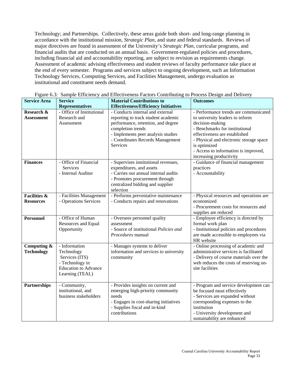Technology; and Partnerships. Collectively, these areas guide both short- and long-range planning in accordance with the institutional mission, *Strategic Plan*, and state and federal standards. Reviews of major directives are found in assessment of the University's *Strategic Plan*, curricular programs, and financial audits that are conducted on an annual basis. Government-regulated policies and procedures, including financial aid and accountability reporting, are subject to revision as requirements change. Assessment of academic advising effectiveness and student reviews of faculty performance take place at the end of every semester. Programs and services subject to ongoing development, such an Information Technology Services, Computing Services, and Facilities Management, undergo evaluation as institutional and constituent needs demand.

| <b>Service Area</b>     | <b>Service</b>              | <b>Material Contributions to</b>            | <b>Outcomes</b>                         |  |  |  |  |
|-------------------------|-----------------------------|---------------------------------------------|-----------------------------------------|--|--|--|--|
|                         | <b>Representatives</b>      | <b>Effectiveness/Efficiency Initiatives</b> |                                         |  |  |  |  |
| Research &              | - Office of Institutional   | - Conducts internal and external            | - Performance trends are communicated   |  |  |  |  |
| <b>Assessment</b>       | Research and                | reporting to track student academic         | to university leaders to inform         |  |  |  |  |
|                         | Assessment                  | performance, retention, and degree          | decision-making                         |  |  |  |  |
|                         |                             | completion trends                           | - Benchmarks for institutional          |  |  |  |  |
|                         |                             | - Implements peer analysis studies          | effectiveness are established           |  |  |  |  |
|                         |                             | - Coordinates Records Management            | - Physical and electronic storage space |  |  |  |  |
|                         |                             | <b>Services</b>                             | is optimized                            |  |  |  |  |
|                         |                             |                                             | - Access to information is improved,    |  |  |  |  |
|                         |                             |                                             | increasing productivity                 |  |  |  |  |
| <b>Finances</b>         | - Office of Financial       | - Supervises institutional revenues,        | - Guidance of financial management      |  |  |  |  |
|                         | <b>Services</b>             | expenditures, and assets                    | practices                               |  |  |  |  |
|                         | - Internal Auditor          | - Carries out annual internal audits        | - Accountability                        |  |  |  |  |
|                         |                             | - Promotes procurement through              |                                         |  |  |  |  |
|                         |                             | centralized bidding and supplier            |                                         |  |  |  |  |
|                         |                             | selection                                   |                                         |  |  |  |  |
| <b>Facilities &amp;</b> | - Facilities Management     | - Performs preventative maintenance         | - Physical resources and operations are |  |  |  |  |
| <b>Resources</b>        | - Operations Services       | - Conducts repairs and renovations          | economized                              |  |  |  |  |
|                         |                             |                                             | - Procurement costs for resources and   |  |  |  |  |
|                         |                             |                                             | supplies are reduced                    |  |  |  |  |
| <b>Personnel</b>        | - Office of Human           | - Oversees personnel quality                | - Employee efficiency is directed by    |  |  |  |  |
|                         | Resources and Equal         | assessment                                  | formal work plan                        |  |  |  |  |
|                         | Opportunity                 | - Source of institutional Policies and      | - Institutional policies and procedures |  |  |  |  |
|                         |                             | Procedures manual                           | are made accessible to employees via    |  |  |  |  |
|                         |                             |                                             | HR website                              |  |  |  |  |
| Computing &             | - Information               | - Manages systems to deliver                | - Online processing of academic and     |  |  |  |  |
| <b>Technology</b>       | Technology                  | information and services to university      | administrative services is facilitated  |  |  |  |  |
|                         | Services (ITS)              | community                                   | - Delivery of course materials over the |  |  |  |  |
|                         | - Technology in             |                                             | web reduces the costs of reserving on-  |  |  |  |  |
|                         | <b>Education to Advance</b> |                                             | site facilities                         |  |  |  |  |
|                         | Learning (TEAL)             |                                             |                                         |  |  |  |  |
| Partnerships            | - Community,                | - Provides insights on current and          | - Program and service development can   |  |  |  |  |
|                         | institutional, and          | emerging high-priority community            | be focused most effectively             |  |  |  |  |
|                         | business stakeholders       | needs                                       | - Services are expanded without         |  |  |  |  |
|                         |                             | - Engages in cost-sharing initiatives       | corresponding expenses to the           |  |  |  |  |
|                         |                             | - Supplies fiscal and in-kind               | institution                             |  |  |  |  |
|                         |                             | contributions                               | - University development and            |  |  |  |  |
|                         |                             |                                             | sustainability are enhanced             |  |  |  |  |
|                         |                             |                                             |                                         |  |  |  |  |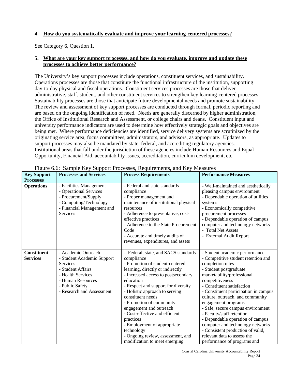#### 4. **How do you systematically evaluate and improve your learning-centered processes**?

See Category 6, Question 1.

#### **5. What are your key support processes, and how do you evaluate, improve and update these processes to achieve better performance?**

The University's key support processes include operations, constituent services, and sustainability. Operations processes are those that constitute the functional infrastructure of the institution, supporting day-to-day physical and fiscal operations. Constituent services processes are those that deliver administrative, staff, student, and other constituent services to strengthen key learning-centered processes. Sustainability processes are those that anticipate future developmental needs and promote sustainability. The review and assessment of key support processes are conducted through formal, periodic reporting and are based on the ongoing identification of need. Needs are generally discerned by higher administration, the Office of Institutional Research and Assessment, or college chairs and deans. Constituent input and university performance indicators are used to determine how effectively strategic goals and objectives are being met. Where performance deficiencies are identified, service delivery systems are scrutinized by the originating service area, focus committees, administrators, and advisors, as appropriate. Updates to support processes may also be mandated by state, federal, and accrediting regulatory agencies. Institutional areas that fall under the jurisdiction of these agencies include Human Resources and Equal Opportunity, Financial Aid, accountability issues, accreditation, curriculum development, etc.

|                                        | <b>Processes and Services</b> | I igure 0.0. Bampic ixcy Bupport I rocesses, ixequirements, and ixcy measures                                                                                  | <b>Performance Measures</b>                                                                                                                                                                          |
|----------------------------------------|-------------------------------|----------------------------------------------------------------------------------------------------------------------------------------------------------------|------------------------------------------------------------------------------------------------------------------------------------------------------------------------------------------------------|
| <b>Key Support</b><br><b>Processes</b> |                               | <b>Process Requirements</b>                                                                                                                                    |                                                                                                                                                                                                      |
|                                        |                               |                                                                                                                                                                |                                                                                                                                                                                                      |
| <b>Operations</b>                      | - Facilities Management       | - Federal and state standards                                                                                                                                  | - Well-maintained and aesthetically                                                                                                                                                                  |
|                                        | - Operational Services        | compliance                                                                                                                                                     | pleasing campus environment                                                                                                                                                                          |
|                                        | - Procurement/Supply          | - Proper management and                                                                                                                                        | - Dependable operation of utilities                                                                                                                                                                  |
|                                        | - Computing/Technology        | maintenance of institutional physical                                                                                                                          | systems                                                                                                                                                                                              |
|                                        | - Financial Management and    | resources                                                                                                                                                      | - Economically competitive                                                                                                                                                                           |
|                                        | <b>Services</b>               | - Adherence to preventative, cost-                                                                                                                             | procurement processes                                                                                                                                                                                |
|                                        |                               | effective practices                                                                                                                                            | - Dependable operation of campus                                                                                                                                                                     |
|                                        |                               | - Adherence to the State Procurement                                                                                                                           | computer and technology networks                                                                                                                                                                     |
|                                        |                               | Code                                                                                                                                                           | - Total Net Assets                                                                                                                                                                                   |
|                                        |                               | - Accurate and timely audits of                                                                                                                                | - External Audit Report                                                                                                                                                                              |
|                                        |                               | revenues, expenditures, and assets                                                                                                                             |                                                                                                                                                                                                      |
|                                        |                               |                                                                                                                                                                |                                                                                                                                                                                                      |
| <b>Constituent</b>                     | - Academic Outreach           | - Federal, state, and SACS standards                                                                                                                           | - Student academic performance                                                                                                                                                                       |
| <b>Services</b>                        | - Student Academic Support    | compliance                                                                                                                                                     | - Competitive student retention and                                                                                                                                                                  |
|                                        | Services                      | - Promotion of student-centered                                                                                                                                | completion rates                                                                                                                                                                                     |
|                                        | - Student Affairs             | learning, directly or indirectly                                                                                                                               | - Student postgraduate                                                                                                                                                                               |
|                                        | - Health Services             | - Increased access to postsecondary<br>education                                                                                                               | marketability/professional                                                                                                                                                                           |
|                                        | - Human Resources             |                                                                                                                                                                | competitiveness                                                                                                                                                                                      |
|                                        | - Public Safety               | - Respect and support for diversity                                                                                                                            | - Constituent satisfaction                                                                                                                                                                           |
|                                        | - Research and Assessment     | - Holistic approach to serving<br>constituent needs                                                                                                            | - Constituent participation in campus<br>culture, outreach, and community                                                                                                                            |
|                                        |                               |                                                                                                                                                                |                                                                                                                                                                                                      |
|                                        |                               | - Promotion of community                                                                                                                                       | engagement programs                                                                                                                                                                                  |
|                                        |                               | engagement and outreach                                                                                                                                        | - Safe, secure campus environment                                                                                                                                                                    |
|                                        |                               |                                                                                                                                                                |                                                                                                                                                                                                      |
|                                        |                               |                                                                                                                                                                |                                                                                                                                                                                                      |
|                                        |                               |                                                                                                                                                                |                                                                                                                                                                                                      |
|                                        |                               |                                                                                                                                                                |                                                                                                                                                                                                      |
|                                        |                               |                                                                                                                                                                |                                                                                                                                                                                                      |
|                                        |                               | - Cost-effective and efficient<br>practices<br>- Employment of appropriate<br>technology<br>- Ongoing review, assessment, and<br>modification to meet emerging | - Faculty/staff retention<br>- Dependable operation of campus<br>computer and technology networks<br>- Consistent production of valid,<br>relevant data to assess the<br>performance of programs and |

|  | Figure 6.6: Sample Key Support Processes, Requirements, and Key Measures |  |
|--|--------------------------------------------------------------------------|--|
|  |                                                                          |  |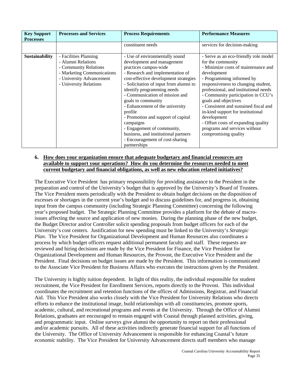| <b>Key Support</b><br><b>Processes</b> | <b>Processes and Services</b>                                                                                                                            | <b>Process Requirements</b>                                                                                                                                                                                                                                                                                                                                                                                                                                                                                                  | <b>Performance Measures</b>                                                                                                                                                                                                                                                                                                                                                                                                                                                              |
|----------------------------------------|----------------------------------------------------------------------------------------------------------------------------------------------------------|------------------------------------------------------------------------------------------------------------------------------------------------------------------------------------------------------------------------------------------------------------------------------------------------------------------------------------------------------------------------------------------------------------------------------------------------------------------------------------------------------------------------------|------------------------------------------------------------------------------------------------------------------------------------------------------------------------------------------------------------------------------------------------------------------------------------------------------------------------------------------------------------------------------------------------------------------------------------------------------------------------------------------|
|                                        |                                                                                                                                                          | constituent needs                                                                                                                                                                                                                                                                                                                                                                                                                                                                                                            | services for decision-making                                                                                                                                                                                                                                                                                                                                                                                                                                                             |
| <b>Sustainability</b>                  | - Facilities Planning<br>- Alumni Relations<br>- Community Relations<br>- Marketing Communications<br>- University Advancement<br>- University Relations | - Use of environmentally sound<br>development and management<br>practices campus-wide<br>- Research and implementation of<br>cost-effective development strategies<br>- Solicitation of input from alumni to<br>identify programming needs<br>- Communication of mission and<br>goals to community<br>- Enhancement of the university<br>profile<br>- Promotion and support of capital<br>campaigns<br>- Engagement of community,<br>business, and institutional partners<br>- Encouragement of cost-sharing<br>partnerships | - Serve as an eco-friendly role model<br>for the community<br>- Minimize costs of maintenance and<br>development<br>- Programming informed by<br>responsiveness to changing student,<br>professional, and institutional needs<br>- Community participation in CCU's<br>goals and objectives<br>- Consistent and sustained fiscal and<br>in-kind support for institutional<br>development<br>- Offset costs of expanding quality<br>programs and services without<br>compromising quality |

#### **6. How does your organization ensure that adequate budgetary and financial resources are available to support your operations? How do you determine the resources needed to meet current budgetary and financial obligations, as well as new education related initiatives?**

The Executive Vice President has primary responsibility for providing assistance to the President in the preparation and control of the University's budget that is approved by the University's Board of Trustees. The Vice President meets periodically with the President to obtain budget decisions on the disposition of excesses or shortages in the current year's budget and to discuss guidelines for, and progress in, obtaining input from the campus community (including Strategic Planning Committee) concerning the following year's proposed budget. The Strategic Planning Committee provides a platform for the debate of macroissues affecting the source and application of new monies. During the planning phase of the new budget, the Budget Director and/or Controller solicit spending proposals from budget officers for each of the University's cost centers. Justification for new spending must be linked to the University's *Strategic Plan*. The Vice President for Organizational Development and Human Resources also coordinates a process by which budget officers request additional permanent faculty and staff. These requests are reviewed and hiring decisions are made by the Vice President for Finance, the Vice President for Organizational Development and Human Resources, the Provost, the Executive Vice President and the President. Final decisions on budget issues are made by the President. This information is communicated to the Associate Vice President for Business Affairs who executes the instructions given by the President.

The University is highly tuition dependent. In light of this reality, the individual responsible for student recruitment, the Vice President for Enrollment Services, reports directly to the Provost. This individual coordinates the recruitment and retention functions of the offices of Admissions, Registrar, and Financial Aid. This Vice President also works closely with the Vice President for University Relations who directs efforts to enhance the institutional image, build relationships with all constituencies, promote sports, academic, cultural, and recreational programs and events at the University. Through the Office of Alumni Relations, graduates are encouraged to remain engaged with Coastal through planned activities, giving, and programmatic input. Online surveys give alumni the opportunity to report on their professional and/or academic pursuits. All of these activities indirectly generate financial support for all functions of the University. The Office of University Advancement is responsible for enhancing Coastal's future economic stability. The Vice President for University Advancement directs staff members who manage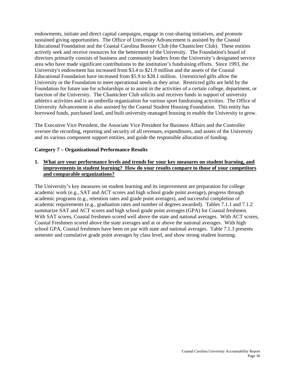endowments, initiate and direct capital campaigns, engage in cost-sharing initiatives, and promote sustained giving opportunities. The Office of University Advancement is assisted by the Coastal Educational Foundation and the Coastal Carolina Booster Club (the Chanticleer Club). These entities actively seek and receive resources for the betterment of the University. The Foundation's board of directors primarily consists of business and community leaders from the University's designated service area who have made significant contributions to the institution's fundraising efforts. Since 1993, the University's endowment has increased from \$3.4 to \$21.9 million and the assets of the Coastal Educational Foundation have increased from \$5.9 to \$28.1 million. Unrestricted gifts allow the University or the Foundation to meet operational needs as they arise. Restricted gifts are held by the Foundation for future use for scholarships or to assist in the activities of a certain college, department, or function of the University. The Chanticleer Club solicits and receives funds in support of university athletics activities and is an umbrella organization for various sport fundraising activities. The Office of University Advancement is also assisted by the Coastal Student Housing Foundation. This entity has borrowed funds, purchased land, and built university-managed housing to enable the University to grow.

The Executive Vice President, the Associate Vice President for Business Affairs and the Controller oversee the recording, reporting and security of all revenues, expenditures, and assets of the University and its various component support entities, and guide the responsible allocation of funding.

#### **Category 7 – Organizational Performance Results**

#### **1. What are your performance levels and trends for your key measures on student learning, and improvements in student learning? How do your results compare to those of your competitors and comparable organizations?**

The University's key measures on student learning and its improvement are preparation for college academic work (e.g., SAT and ACT scores and high school grade point average), progress through academic programs (e.g., retention rates and grade point averages), and successful completion of academic requirements (e.g., graduation rates and number of degrees awarded). Tables 7.1.1 and 7.1.2 summarize SAT and ACT scores and high school grade point averages (GPA) for Coastal freshmen. With SAT scores, Coastal freshmen scored well above the state and national averages. With ACT scores, Coastal Freshmen scored above the state averages and at or above the national averages. With high school GPA, Coastal freshmen have been on par with state and national averages. Table 7.1.3 presents semester and cumulative grade point averages by class level, and show strong student learning.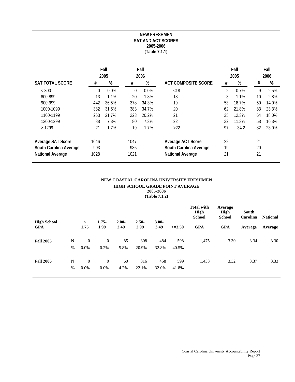| <b>NEW FRESHMEN</b><br><b>SAT AND ACT SCORES</b><br>2005-2006<br>(Table 7.1.1) |      |       |          |       |                            |                |       |      |       |  |
|--------------------------------------------------------------------------------|------|-------|----------|-------|----------------------------|----------------|-------|------|-------|--|
|                                                                                |      | Fall  |          | Fall  |                            |                | Fall  |      | Fall  |  |
|                                                                                |      | 2005  |          | 2006  |                            |                | 2005  | 2006 |       |  |
| SAT TOTAL SCORE                                                                | #    | %     | $\#$     | $\%$  | <b>ACT COMPOSITE SCORE</b> | $\#$           | $\%$  | $\#$ | $\%$  |  |
| < 800                                                                          | 0    | 0.0%  | $\Omega$ | 0.0%  | < 18                       | $\overline{2}$ | 0.7%  | 9    | 2.5%  |  |
| 800-899                                                                        | 13   | 1.1%  | 20       | 1.8%  | 18                         | 3              | 1.1%  | 10   | 2.8%  |  |
| 900-999                                                                        | 442  | 36.5% | 378      | 34.3% | 19                         | 53             | 18.7% | 50   | 14.0% |  |
| 1000-1099                                                                      | 382  | 31.5% | 383      | 34.7% | 20                         | 62             | 21.8% | 83   | 23.3% |  |
| 1100-1199                                                                      | 263  | 21.7% | 223      | 20.2% | 21                         | 35             | 12.3% | 64   | 18.0% |  |
| 1200-1299                                                                      | 88   | 7.3%  | 80       | 7.3%  | 22                         | 32             | 11.3% | 58   | 16.3% |  |
| >1299                                                                          | 21   | 1.7%  | 19       | 1.7%  | $>22$                      | 97             | 34.2  | 82   | 23.0% |  |
| Average SAT Score                                                              | 1046 |       | 1047     |       | Average ACT Score          | 22             |       | 21   |       |  |
| South Carolina Average                                                         | 993  |       | 985      |       | South Carolina Average     | 19             |       | 20   |       |  |
| <b>National Average</b>                                                        | 1028 |       | 1021     |       | <b>National Average</b>    | 21             |       | 21   |       |  |

| NEW COASTAL CAROLINA UNIVERSITY FRESHMEN<br><b>HIGH SCHOOL GRADE POINT AVERAGE</b><br>2005-2006<br>(Table 7.1.2) |           |                           |                        |            |              |              |              |                                            |                                  |                          |                 |
|------------------------------------------------------------------------------------------------------------------|-----------|---------------------------|------------------------|------------|--------------|--------------|--------------|--------------------------------------------|----------------------------------|--------------------------|-----------------|
| <b>High School</b>                                                                                               |           | $\lt$                     | $1.75 -$               | $2.00 -$   | $2.50 -$     | $3.00 -$     |              | <b>Total with</b><br>High<br><b>School</b> | Average<br>High<br><b>School</b> | <b>South</b><br>Carolina | <b>National</b> |
| <b>GPA</b>                                                                                                       |           | 1.75                      | 1.99                   | 2.49       | 2.99         | 3.49         | $>=3.50$     | <b>GPA</b>                                 | <b>GPA</b>                       | Average                  | Average         |
| <b>Fall 2005</b>                                                                                                 | N<br>$\%$ | $\overline{0}$<br>$0.0\%$ | $\theta$<br>0.2%       | 85<br>5.8% | 308<br>20.9% | 484<br>32.8% | 598<br>40.5% | 1,475                                      | 3.30                             | 3.34                     | 3.30            |
| <b>Fall 2006</b>                                                                                                 | N<br>$\%$ | $\boldsymbol{0}$<br>0.0%  | $\overline{0}$<br>0.0% | 60<br>4.2% | 316<br>22.1% | 458<br>32.0% | 599<br>41.8% | 1,433                                      | 3.32                             | 3.37                     | 3.33            |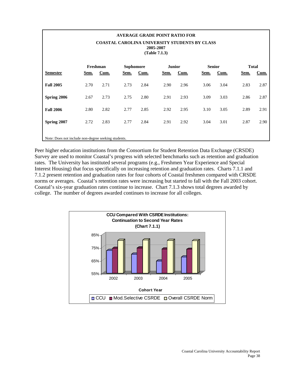| <b>AVERAGE GRADE POINT RATIO FOR</b><br><b>COASTAL CAROLINA UNIVERSITY STUDENTS BY CLASS</b><br>2005-2007<br>(Table 7.1.3) |                                                     |      |      |      |      |      |      |      |      |      |  |
|----------------------------------------------------------------------------------------------------------------------------|-----------------------------------------------------|------|------|------|------|------|------|------|------|------|--|
| <b>Total</b><br>Freshman<br><b>Sophomore</b><br><b>Senior</b><br><b>Junior</b>                                             |                                                     |      |      |      |      |      |      |      |      |      |  |
| <b>Semester</b>                                                                                                            | Sem.                                                | Cum. | Sem. | Cum. | Sem. | Cum. | Sem. | Cum. | Sem. | Cum. |  |
| <b>Fall 2005</b>                                                                                                           | 2.70                                                | 2.71 | 2.73 | 2.84 | 2.90 | 2.96 | 3.06 | 3.04 | 2.83 | 2.87 |  |
| Spring 2006                                                                                                                | 2.67                                                | 2.73 | 2.75 | 2.80 | 2.91 | 2.93 | 3.09 | 3.03 | 2.86 | 2.87 |  |
| <b>Fall 2006</b>                                                                                                           | 2.80                                                | 2.82 | 2.77 | 2.85 | 2.92 | 2.95 | 3.10 | 3.05 | 2.89 | 2.91 |  |
| Spring 2007                                                                                                                | 2.72                                                | 2.83 | 2.77 | 2.84 | 2.91 | 2.92 | 3.04 | 3.01 | 2.87 | 2.90 |  |
|                                                                                                                            | Note: Does not include non-degree seeking students. |      |      |      |      |      |      |      |      |      |  |

Peer higher education institutions from the Consortium for Student Retention Data Exchange (CRSDE) Survey are used to monitor Coastal's progress with selected benchmarks such as retention and graduation rates. The University has instituted several programs (e.g., Freshmen Year Experience and Special Interest Housing) that focus specifically on increasing retention and graduation rates. Charts 7.1.1 and 7.1.2 present retention and graduation rates for four cohorts of Coastal freshmen compared with CRSDE norms or averages. Coastal's retention rates were increasing but started to fall with the Fall 2003 cohort. Coastal's six-year graduation rates continue to increase. Chart 7.1.3 shows total degrees awarded by college. The number of degrees awarded continues to increase for all colleges.

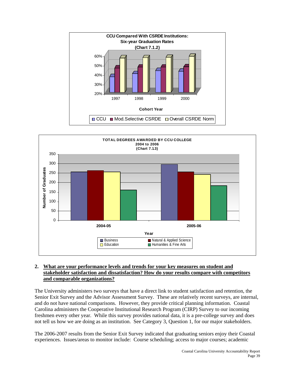



#### **2. What are your performance levels and trends for your key measures on student and stakeholder satisfaction and dissatisfaction? How do your results compare with competitors and comparable organizations?**

The University administers two surveys that have a direct link to student satisfaction and retention, the Senior Exit Survey and the Advisor Assessment Survey. These are relatively recent surveys, are internal, and do not have national comparisons. However, they provide critical planning information. Coastal Carolina administers the Cooperative Institutional Research Program (CIRP) Survey to our incoming freshmen every other year. While this survey provides national data, it is a pre-college survey and does not tell us how we are doing as an institution. See Category 3, Question 1, for our major stakeholders.

The 2006-2007 results from the Senior Exit Survey indicated that graduating seniors enjoy their Coastal experiences. Issues/areas to monitor include: Course scheduling; access to major courses; academic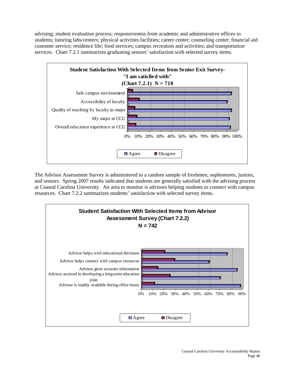advising; student evaluation process; responsiveness from academic and administrative offices to students; tutoring labs/centers; physical activities facilities; career center; counseling center; financial aid customer service; residence life; food services; campus recreation and activities; and transportation services. Chart 7.2.1 summarizes graduating seniors' satisfaction with selected survey items.



The Advisor Assessment Survey is administered to a random sample of freshmen, sophomores, juniors, and seniors. Spring 2007 results indicated that students are generally satisfied with the advising process at Coastal Carolina University. An area to monitor is advisors helping students to connect with campus resources. Chart 7.2.2 summarizes students' satisfaction with selected survey items.

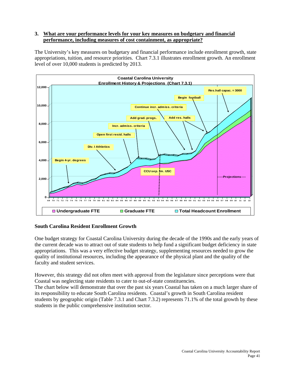#### **3. What are your performance levels for your key measures on budgetary and financial performance, including measures of cost containment, as appropriate?**

The University's key measures on budgetary and financial performance include enrollment growth, state appropriations, tuition, and resource priorities. Chart 7.3.1 illustrates enrollment growth. An enrollment level of over 10,000 students is predicted by 2013.



## **South Carolina Resident Enrollment Growth**

One budget strategy for Coastal Carolina University during the decade of the 1990s and the early years of the current decade was to attract out of state students to help fund a significant budget deficiency in state appropriations. This was a very effective budget strategy, supplementing resources needed to grow the quality of institutional resources, including the appearance of the physical plant and the quality of the faculty and student services.

However, this strategy did not often meet with approval from the legislature since perceptions were that Coastal was neglecting state residents to cater to out-of-state constituencies.

The chart below will demonstrate that over the past six years Coastal has taken on a much larger share of its responsibility to educate South Carolina residents. Coastal's growth in South Carolina resident students by geographic origin (Table 7.3.1 and Chart 7.3.2) represents 71.1% of the total growth by these students in the public comprehensive institution sector.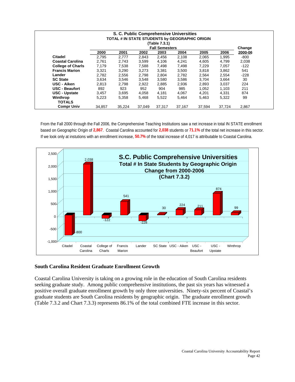|                           |        | TOTAL # IN STATE STUDENTS by GEOGRAPHIC ORIGIN |        | (Table 7.3.1)<br><b>Fall Semesters</b> | S. C. Public Comprehensive Universities |        |        | Change  |
|---------------------------|--------|------------------------------------------------|--------|----------------------------------------|-----------------------------------------|--------|--------|---------|
|                           | 2000   | 2001                                           | 2002   | 2003                                   | 2004                                    | 2005   | 2006   | 2000-06 |
| <b>Citadel</b>            | 2,795  | 2.777                                          | 2,843  | 2,456                                  | 2,108                                   | 2,065  | 1,995  | $-800$  |
| <b>Coastal Carolina</b>   | 2,761  | 2,743                                          | 3,599  | 4,106                                  | 4,241                                   | 4,605  | 4.799  | 2,038   |
| <b>College of Charls</b>  | 7,179  | 7,538                                          | 7,588  | 7,498                                  | 7,498                                   | 7,229  | 7,057  | $-122$  |
| <b>Francis Marion</b>     | 3,321  | 3,290                                          | 3,273  | 3,381                                  | 3,500                                   | 3,818  | 3,862  | 541     |
| Lander                    | 2,782  | 2,556                                          | 2,798  | 2,804                                  | 2,782                                   | 2,564  | 2,554  | $-228$  |
| <b>SC State</b>           | 3,634  | 3,546                                          | 3,548  | 3,580                                  | 3,586                                   | 3,704  | 3,664  | 30      |
| USC - Aiken               | 2,813  | 2,798                                          | 2,922  | 2,885                                  | 2,936                                   | 2,893  | 3,037  | 224     |
| <b>USC - Beaufort</b>     | 892    | 923                                            | 952    | 904                                    | 985                                     | 1,052  | 1,103  | 211     |
| <b>USC - Upstate</b>      | 3,457  | 3,695                                          | 4,058  | 4,181                                  | 4,067                                   | 4,201  | 4,331  | 874     |
| Winthrop<br><b>TOTALS</b> | 5,223  | 5,358                                          | 5,468  | 5,522                                  | 5.464                                   | 5,463  | 5,322  | 99      |
| <b>Compr Univ</b>         | 34,857 | 35,224                                         | 37,049 | 37,317                                 | 37,167                                  | 37,594 | 37.724 | 2,867   |

From the Fall 2000 through the Fall 2006, the Comprehensive Teaching Institutions saw a net increase in total IN STATE enrollment based on Geographic Origin of **2,867**. Coastal Carolina accounted for **2,038** students or **71.1%** of the total net increase in this sector. If we look only at instutions with an enrollment increase, **50.7%** of the total increase of 4,017 is attributable to Coastal Carolina.



#### **South Carolina Resident Graduate Enrollment Growth**

Coastal Carolina University is taking on a growing role in the education of South Carolina residents seeking graduate study. Among public comprehensive institutions, the past six years has witnessed a positive overall graduate enrollment growth by only three universities. Ninety-six percent of Coastal's graduate students are South Carolina residents by geographic origin. The graduate enrollment growth (Table 7.3.2 and Chart 7.3.3) represents 86.1% of the total combined FTE increase in this sector.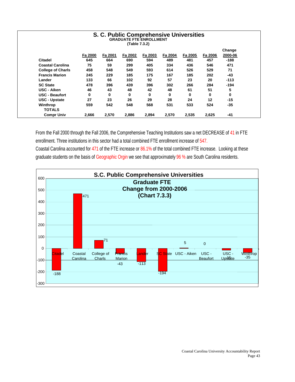|                          |         |         | <b>S. C. Public Comprehensive Universities</b><br><b>GRADUATE FTE ENROLLMENT</b><br>(Table 7.3.2) |         |         |         |         |         |
|--------------------------|---------|---------|---------------------------------------------------------------------------------------------------|---------|---------|---------|---------|---------|
|                          |         |         |                                                                                                   |         |         |         |         | Change  |
|                          | Fa 2000 | Fa 2001 | Fa 2002                                                                                           | Fa 2003 | Fa 2004 | Fa 2005 | Fa 2006 | 2000-06 |
| Citadel                  | 645     | 664     | 690                                                                                               | 594     | 489     | 481     | 457     | $-188$  |
| <b>Coastal Carolina</b>  | 75      | 59      | 299                                                                                               | 405     | 334     | 436     | 546     | 471     |
| <b>College of Charls</b> | 458     | 548     | 549                                                                                               | 593     | 614     | 526     | 529     | 71      |
| <b>Francis Marion</b>    | 245     | 229     | 185                                                                                               | 175     | 167     | 185     | 202     | -43     |
| Lander                   | 133     | 66      | 102                                                                                               | 92      | 57      | 23      | 20      | $-113$  |
| <b>SC State</b>          | 478     | 396     | 439                                                                                               | 396     | 302     | 266     | 284     | $-194$  |
| USC - Aiken              | 46      | 43      | 48                                                                                                | 42      | 48      | 61      | 51      | 5       |
| <b>USC - Beaufort</b>    | 0       | 0       | 0                                                                                                 | 0       | 0       | 0       | 0       | 0       |
| <b>USC - Upstate</b>     | 27      | 23      | 26                                                                                                | 29      | 28      | 24      | 12      | $-15$   |
| Winthrop                 | 559     | 542     | 548                                                                                               | 568     | 531     | 533     | 524     | $-35$   |
| <b>TOTALS</b>            |         |         |                                                                                                   |         |         |         |         |         |
| <b>Compr Univ</b>        | 2,666   | 2,570   | 2.886                                                                                             | 2,894   | 2,570   | 2,535   | 2,625   | -41     |

From the Fall 2000 through the Fall 2006, the Comprehensive Teaching Institutions saw a net DECREASE of 41 in FTE enrollment. Three institutions in this sector had a total combined FTE enrollment increase of 547. Coastal Carolina accounted for 471 of the FTE increase or 86.1% of the total combined FTE increase. Looking at these graduate students on the basis of Geographic Orgin we see that approximately 96 % are South Carolina residents.

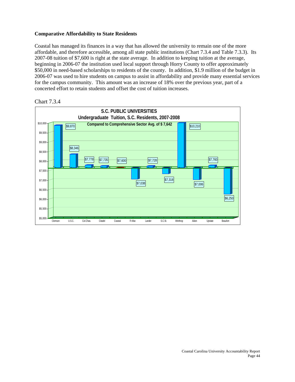#### **Comparative Affordability to State Residents**

Coastal has managed its finances in a way that has allowed the university to remain one of the more affordable, and therefore accessible, among all state public institutions (Chart 7.3.4 and Table 7.3.3). Its 2007-08 tuition of \$7,600 is right at the state average. In addition to keeping tuition at the average, beginning in 2006-07 the institution used local support through Horry County to offer approximately \$50,000 in need-based scholarships to residents of the county. In addition, \$1.9 million of the budget in 2006-07 was used to hire students on campus to assist in affordability and provide many essential services for the campus community. This amount was an increase of 18% over the previous year, part of a concerted effort to retain students and offset the cost of tuition increases.



#### Chart 7.3.4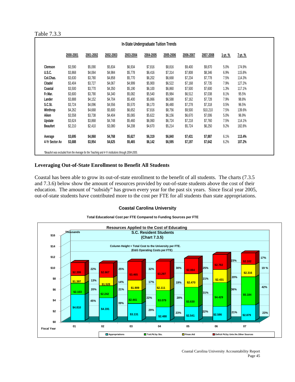#### Table 7.3.3

| In-State Undergraduate Tuition Trends |           |           |           |           |           |           |           |           |                |         |
|---------------------------------------|-----------|-----------|-----------|-----------|-----------|-----------|-----------|-----------|----------------|---------|
|                                       | 2000-2001 | 2001-2002 | 2002-2003 | 2003-2004 | 2004-2005 | 2005-2006 | 2006-2007 | 2007-2008 | <u>1-yr. %</u> | 7-yr. % |
| Clemson                               | \$3,590   | \$5,090   | \$5,834   | \$6,934   | \$7,816   | \$8,816   | \$9,400   | \$9,870   | 5.0%           | 174.9%  |
| <b>U.S.C.</b>                         | \$3,868   | \$4,064   | \$4,984   | \$5,778   | \$6,416   | \$7,314   | \$7,808   | \$8,346   | 6.9%           | 115.8%  |
| Col.Chas.                             | \$3,630   | \$3,780   | \$4,858   | \$5,770   | \$6,202   | \$6,668   | \$7,234   | \$7,778   | 7.5%           | 114.3%  |
| Citadel                               | \$3,404   | \$3,727   | \$4,067   | \$4,999   | \$5,900   | \$6,522   | \$7,168   | \$7,735   | 7.9%           | 127.2%  |
| Coastal                               | \$3,500   | \$3,770   | \$4,350   | \$5,190   | \$6,100   | \$6,860   | \$7,500   | \$7,600   | 1.3%           | 117.1%  |
| Fr.Mar.                               | \$3,600   | \$3,790   | \$4,340   | \$5,082   | \$5,540   | \$5,984   | \$6,512   | \$7,038   | 8.1%           | 95.5%   |
| Lander                                | \$3,888   | \$4,152   | \$4,704   | \$5,400   | \$5,866   | \$6,588   | \$7,162   | \$7,728   | 7.9%           | 98.8%   |
| S.C.St.                               | \$3,724   | \$4,096   | \$4,556   | \$5,570   | \$6,170   | \$6,480   | \$7,278   | \$7,318   | 0.5%           | 96.5%   |
| Winthrop                              | \$4,262   | \$4,668   | \$5,600   | \$6,652   | \$7,816   | \$8,756   | \$9,500   | \$10,210  | 7.5%           | 139.6%  |
| Aiken                                 | \$3,558   | \$3,738   | \$4,404   | \$5,065   | \$5,622   | \$6,156   | \$6,670   | \$7,006   | 5.0%           | 96.9%   |
| Upstate                               | \$3,624   | \$3,868   | \$4,748   | \$5,460   | \$6,060   | \$6,724   | \$7,218   | \$7,760   | 7.5%           | 114.1%  |
| <b>Beaufort</b>                       | \$2,210   | \$2,410   | \$3,080   | \$4,208   | \$4,670   | \$5,214   | \$5,724   | \$6,250   | 9.2%           | 182.8%  |
| Average                               | \$3,695   | \$4,068   | \$4,768   | \$5,627   | \$6,319   | \$6,840   | \$7,431   | \$7,887   | 6.1%           | 113.4%  |
| 4-Yr Sector Av                        | \$3,688   | \$3,954   | \$4,625   | \$5,465   | \$6,142   | \$6,595   | \$7,197   | \$7,642   | 6.2%           | 107.2%  |

#### **Leveraging Out-of-State Enrollment to Benefit All Students**

Coastal has been able to grow its out-of-state enrollment to the benefit of all students. The charts (7.3.5 and 7.3.6) below show the amount of resources provided by out-of-state students above the cost of their education. The amount of "subsidy" has grown every year for the past six years. Since fiscal year 2005, out-of-state students have contributed more to the cost per FTE for all students than state appropriations.

#### **Coastal Carolina University**



**Total Educational Cost per FTE Compared to Funding Sources per FTE**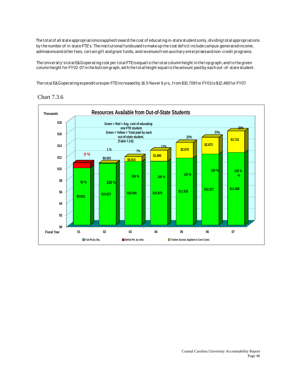The total of all state appropriations is applied toward the cost of educating in-state student sonly, dividing total appropriations by the number of in-state FTE's. The institutional funds used to make up the cost deficit include campus-generated income, admissions and other fees, certain gift and grant funds, and revenues from auxiliary enterprises and non-credit programs.

The University's tot al E&G operating cost per tot al FTE is equal to the tot al column height in the top graph, and to the green column height for FY02-07 in the bottom graph, with the total height equal to the amount paid by each out-of-state student.

The total E&Goperating expenditures per FTE increased by 16.5 % over 6 yrs., from \$10,709 for FY01 to \$12,480 for FY07.



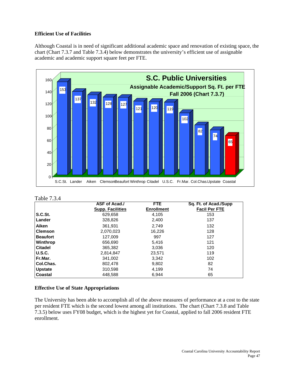#### **Efficient Use of Facilities**

Although Coastal is in need of significant additional academic space and renovation of existing space, the chart (Chart 7.3.7 and Table 7.3.4) below demonstrates the university's efficient use of assignable academic and academic support square feet per FTE.



#### Table 7.3.4

|                 | ASF of Acad./           | FTE               | Sq. Ft. of Acad /Supp |
|-----------------|-------------------------|-------------------|-----------------------|
|                 | <b>Supp. Facilities</b> | <b>Enrollment</b> | <b>Facil Per FTE</b>  |
| S.C.St.         | 629,658                 | 4,105             | 153                   |
| Lander          | 328,826                 | 2,400             | 137                   |
| Aiken           | 361.931                 | 2.749             | 132                   |
| l Clemson       | 2,070,023               | 16,226            | 128                   |
| <b>Beaufort</b> | 127,009                 | 997               | 127                   |
| Winthrop        | 656,690                 | 5.416             | 121                   |
| <b>Citadel</b>  | 365,382                 | 3,036             | 120                   |
| <b>U.S.C.</b>   | 2,814,847               | 23,571            | 119                   |
| Fr.Mar.         | 341,002                 | 3,342             | 102                   |
| Col.Chas.       | 802,478                 | 9,802             | 82                    |
| <b>Upstate</b>  | 310,598                 | 4,199             | 74                    |
| <b>Coastal</b>  | 448,588                 | 6,944             | 65                    |

#### **Effective Use of State Appropriations**

The University has been able to accomplish all of the above measures of performance at a cost to the state per resident FTE which is the second lowest among all institutions. The chart (Chart 7.3.8 and Table 7.3.5) below uses FY08 budget, which is the highest yet for Coastal, applied to fall 2006 resident FTE enrollment.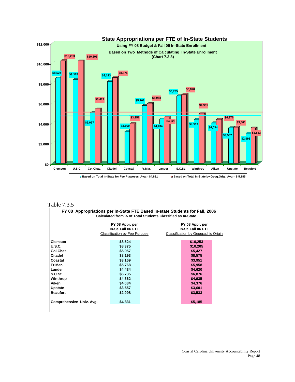

#### Table 7.3.5

|                          | FY 08 Appropriations per In-State FTE Based In-state Students for Fall, 2006<br>Calculated from % of Total Students Classified as In-State |                                       |  |  |  |  |  |  |  |
|--------------------------|--------------------------------------------------------------------------------------------------------------------------------------------|---------------------------------------|--|--|--|--|--|--|--|
|                          | FY 08 Appr. per<br>In-St. Fall 06 FTE                                                                                                      | FY 08 Appr. per<br>In-St. Fall 06 FTE |  |  |  |  |  |  |  |
|                          | <b>Classification by Fee Purpose</b>                                                                                                       | Classification by Geographic Origin   |  |  |  |  |  |  |  |
| <b>Clemson</b>           | \$8,524                                                                                                                                    | \$10,253                              |  |  |  |  |  |  |  |
| U.S.C.                   | \$8,375                                                                                                                                    | \$10,205                              |  |  |  |  |  |  |  |
| Col.Chas.                | \$5,057                                                                                                                                    | \$5,427                               |  |  |  |  |  |  |  |
| Citadel                  | \$8,193                                                                                                                                    | \$8,575                               |  |  |  |  |  |  |  |
| Coastal                  | \$3,169                                                                                                                                    | \$3,951                               |  |  |  |  |  |  |  |
| Fr.Mar.                  | \$5,768                                                                                                                                    | \$5,958                               |  |  |  |  |  |  |  |
| Lander                   | \$4,434                                                                                                                                    | \$4,620                               |  |  |  |  |  |  |  |
| S.C.S <sub>t</sub>       | \$6,735                                                                                                                                    | \$6,876                               |  |  |  |  |  |  |  |
| Winthrop                 | \$4,362                                                                                                                                    | \$4,935                               |  |  |  |  |  |  |  |
| Aiken                    | \$4,034                                                                                                                                    | \$4,376                               |  |  |  |  |  |  |  |
| <b>Upstate</b>           | \$3,557                                                                                                                                    | \$3,601                               |  |  |  |  |  |  |  |
| <b>Beaufort</b>          | \$2,998                                                                                                                                    | \$3,533                               |  |  |  |  |  |  |  |
| Comprehensive Univ. Avg. | \$4,831                                                                                                                                    | \$5,185                               |  |  |  |  |  |  |  |